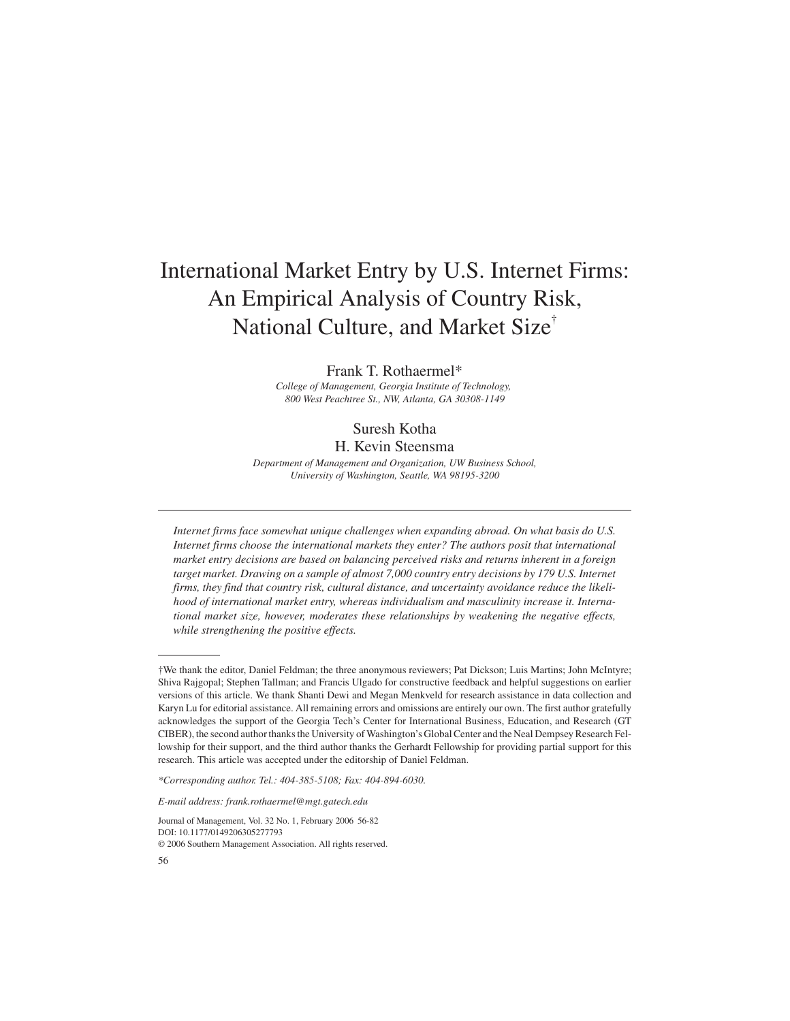# International Market Entry by U.S. Internet Firms: An Empirical Analysis of Country Risk, National Culture, and Market Size†

#### Frank T. Rothaermel\*

*College of Management, Georgia Institute of Technology, 800 West Peachtree St., NW, Atlanta, GA 30308-1149*

## Suresh Kotha

## H. Kevin Steensma

*Department of Management and Organization, UW Business School, University of Washington, Seattle, WA 98195-3200*

*Internet firms face somewhat unique challenges when expanding abroad. On what basis do U.S. Internet firms choose the international markets they enter? The authors posit that international market entry decisions are based on balancing perceived risks and returns inherent in a foreign target market. Drawing on a sample of almost 7,000 country entry decisions by 179 U.S. Internet firms, they find that country risk, cultural distance, and uncertainty avoidance reduce the likelihood of international market entry, whereas individualism and masculinity increase it. International market size, however, moderates these relationships by weakening the negative effects, while strengthening the positive effects.*

*\*Corresponding author. Tel.: 404-385-5108; Fax: 404-894-6030.*

*E-mail address: frank.rothaermel@mgt.gatech.edu*

Journal of Management, Vol. 32 No. 1, February 2006 56-82 DOI: 10.1177/0149206305277793 © 2006 Southern Management Association. All rights reserved.

<sup>†</sup>We thank the editor, Daniel Feldman; the three anonymous reviewers; Pat Dickson; Luis Martins; John McIntyre; Shiva Rajgopal; Stephen Tallman; and Francis Ulgado for constructive feedback and helpful suggestions on earlier versions of this article. We thank Shanti Dewi and Megan Menkveld for research assistance in data collection and Karyn Lu for editorial assistance. All remaining errors and omissions are entirely our own. The first author gratefully acknowledges the support of the Georgia Tech's Center for International Business, Education, and Research (GT CIBER), the second author thanks the University of Washington's Global Center and the Neal Dempsey Research Fellowship for their support, and the third author thanks the Gerhardt Fellowship for providing partial support for this research. This article was accepted under the editorship of Daniel Feldman.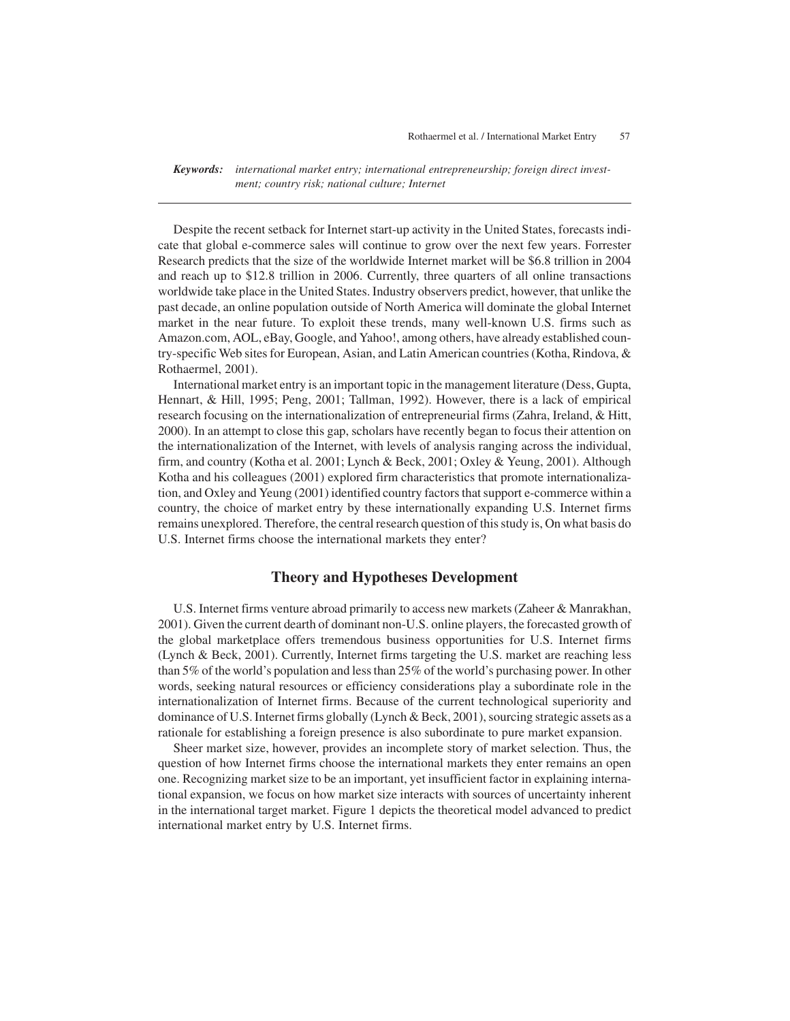*Keywords: international market entry; international entrepreneurship; foreign direct investment; country risk; national culture; Internet*

Despite the recent setback for Internet start-up activity in the United States, forecasts indicate that global e-commerce sales will continue to grow over the next few years. Forrester Research predicts that the size of the worldwide Internet market will be \$6.8 trillion in 2004 and reach up to \$12.8 trillion in 2006. Currently, three quarters of all online transactions worldwide take place in the United States. Industry observers predict, however, that unlike the past decade, an online population outside of North America will dominate the global Internet market in the near future. To exploit these trends, many well-known U.S. firms such as Amazon.com, AOL, eBay, Google, and Yahoo!, among others, have already established country-specific Web sites for European, Asian, and Latin American countries (Kotha, Rindova, & Rothaermel, 2001).

International market entry is an important topic in the management literature (Dess, Gupta, Hennart, & Hill, 1995; Peng, 2001; Tallman, 1992). However, there is a lack of empirical research focusing on the internationalization of entrepreneurial firms (Zahra, Ireland, & Hitt, 2000). In an attempt to close this gap, scholars have recently began to focus their attention on the internationalization of the Internet, with levels of analysis ranging across the individual, firm, and country (Kotha et al. 2001; Lynch & Beck, 2001; Oxley & Yeung, 2001). Although Kotha and his colleagues (2001) explored firm characteristics that promote internationalization, and Oxley and Yeung (2001) identified country factors that support e-commerce within a country, the choice of market entry by these internationally expanding U.S. Internet firms remains unexplored. Therefore, the central research question of this study is, On what basis do U.S. Internet firms choose the international markets they enter?

## **Theory and Hypotheses Development**

U.S. Internet firms venture abroad primarily to access new markets (Zaheer & Manrakhan, 2001). Given the current dearth of dominant non-U.S. online players, the forecasted growth of the global marketplace offers tremendous business opportunities for U.S. Internet firms (Lynch & Beck, 2001). Currently, Internet firms targeting the U.S. market are reaching less than 5% of the world's population and less than 25% of the world's purchasing power. In other words, seeking natural resources or efficiency considerations play a subordinate role in the internationalization of Internet firms. Because of the current technological superiority and dominance of U.S. Internet firms globally (Lynch & Beck, 2001), sourcing strategic assets as a rationale for establishing a foreign presence is also subordinate to pure market expansion.

Sheer market size, however, provides an incomplete story of market selection. Thus, the question of how Internet firms choose the international markets they enter remains an open one. Recognizing market size to be an important, yet insufficient factor in explaining international expansion, we focus on how market size interacts with sources of uncertainty inherent in the international target market. Figure 1 depicts the theoretical model advanced to predict international market entry by U.S. Internet firms.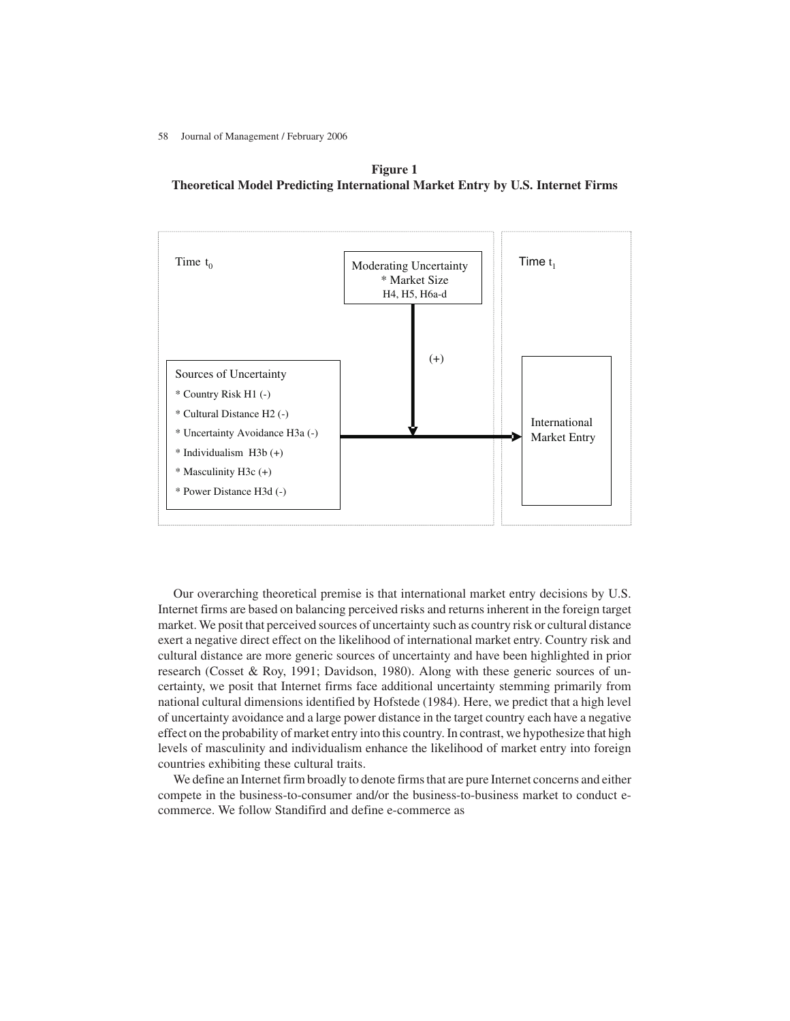**Figure 1 Theoretical Model Predicting International Market Entry by U.S. Internet Firms**



Our overarching theoretical premise is that international market entry decisions by U.S. Internet firms are based on balancing perceived risks and returns inherent in the foreign target market. We posit that perceived sources of uncertainty such as country risk or cultural distance exert a negative direct effect on the likelihood of international market entry. Country risk and cultural distance are more generic sources of uncertainty and have been highlighted in prior research (Cosset & Roy, 1991; Davidson, 1980). Along with these generic sources of uncertainty, we posit that Internet firms face additional uncertainty stemming primarily from national cultural dimensions identified by Hofstede (1984). Here, we predict that a high level of uncertainty avoidance and a large power distance in the target country each have a negative effect on the probability of market entry into this country. In contrast, we hypothesize that high levels of masculinity and individualism enhance the likelihood of market entry into foreign countries exhibiting these cultural traits.

We define an Internet firm broadly to denote firms that are pure Internet concerns and either compete in the business-to-consumer and/or the business-to-business market to conduct ecommerce. We follow Standifird and define e-commerce as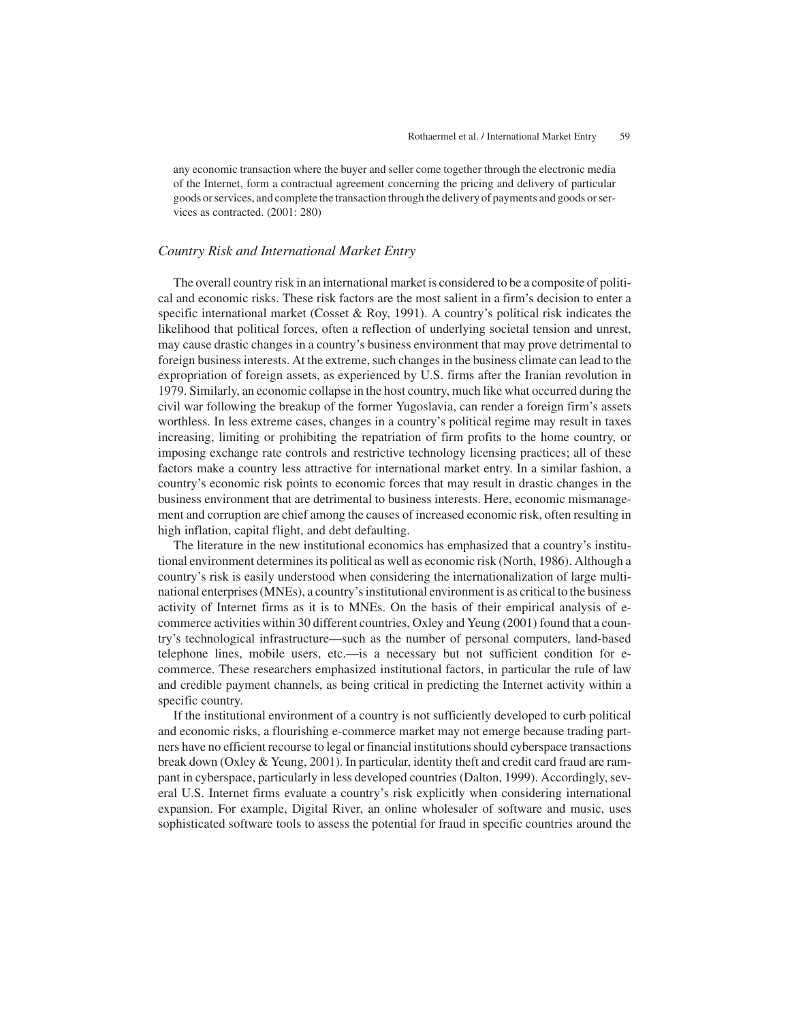any economic transaction where the buyer and seller come together through the electronic media of the Internet, form a contractual agreement concerning the pricing and delivery of particular goods or services, and complete the transaction through the delivery of payments and goods or services as contracted. (2001: 280)

#### *Country Risk and International Market Entry*

The overall country risk in an international market is considered to be a composite of political and economic risks. These risk factors are the most salient in a firm's decision to enter a specific international market (Cosset & Roy, 1991). A country's political risk indicates the likelihood that political forces, often a reflection of underlying societal tension and unrest, may cause drastic changes in a country's business environment that may prove detrimental to foreign business interests. At the extreme, such changes in the business climate can lead to the expropriation of foreign assets, as experienced by U.S. firms after the Iranian revolution in 1979. Similarly, an economic collapse in the host country, much like what occurred during the civil war following the breakup of the former Yugoslavia, can render a foreign firm's assets worthless. In less extreme cases, changes in a country's political regime may result in taxes increasing, limiting or prohibiting the repatriation of firm profits to the home country, or imposing exchange rate controls and restrictive technology licensing practices; all of these factors make a country less attractive for international market entry. In a similar fashion, a country's economic risk points to economic forces that may result in drastic changes in the business environment that are detrimental to business interests. Here, economic mismanagement and corruption are chief among the causes of increased economic risk, often resulting in high inflation, capital flight, and debt defaulting.

The literature in the new institutional economics has emphasized that a country's institutional environment determines its political as well as economic risk (North, 1986). Although a country's risk is easily understood when considering the internationalization of large multinational enterprises (MNEs), a country's institutional environment is as critical to the business activity of Internet firms as it is to MNEs. On the basis of their empirical analysis of ecommerce activities within 30 different countries, Oxley and Yeung (2001) found that a country's technological infrastructure—such as the number of personal computers, land-based telephone lines, mobile users, etc.—is a necessary but not sufficient condition for ecommerce. These researchers emphasized institutional factors, in particular the rule of law and credible payment channels, as being critical in predicting the Internet activity within a specific country.

If the institutional environment of a country is not sufficiently developed to curb political and economic risks, a flourishing e-commerce market may not emerge because trading partners have no efficient recourse to legal or financial institutions should cyberspace transactions break down (Oxley & Yeung, 2001). In particular, identity theft and credit card fraud are rampant in cyberspace, particularly in less developed countries (Dalton, 1999). Accordingly, several U.S. Internet firms evaluate a country's risk explicitly when considering international expansion. For example, Digital River, an online wholesaler of software and music, uses sophisticated software tools to assess the potential for fraud in specific countries around the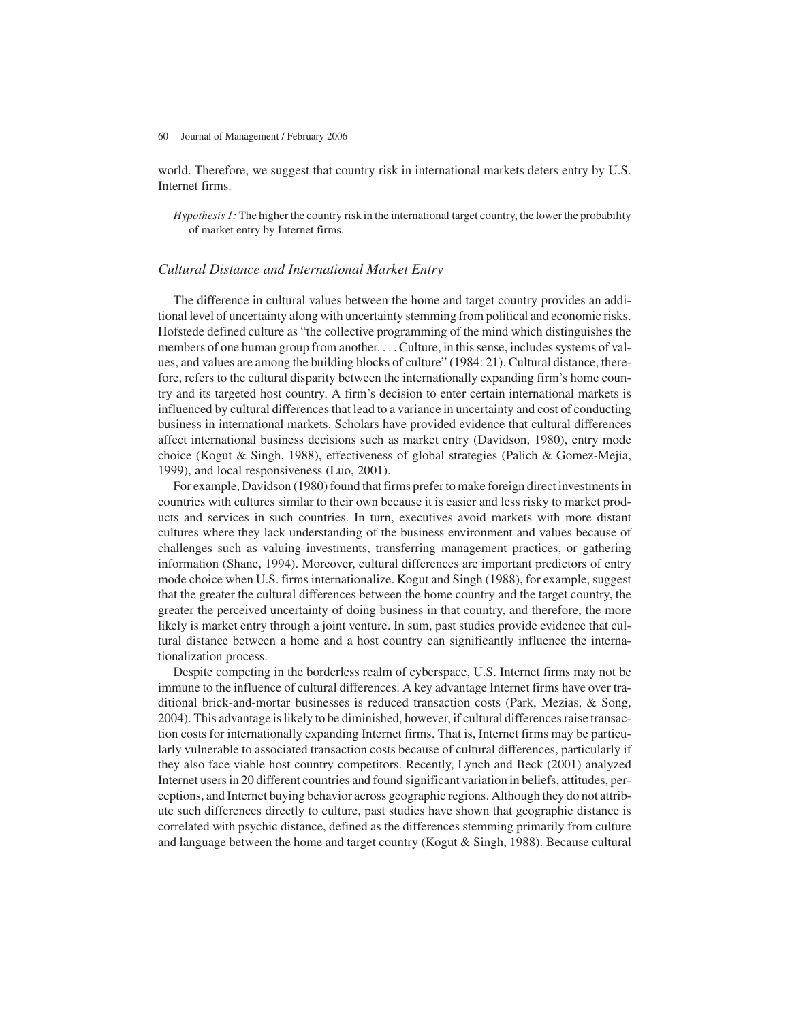world. Therefore, we suggest that country risk in international markets deters entry by U.S. Internet firms.

*Hypothesis 1:* The higher the country risk in the international target country, the lower the probability of market entry by Internet firms.

#### *Cultural Distance and International Market Entry*

The difference in cultural values between the home and target country provides an additional level of uncertainty along with uncertainty stemming from political and economic risks. Hofstede defined culture as "the collective programming of the mind which distinguishes the members of one human group from another.... Culture, in this sense, includes systems of values, and values are among the building blocks of culture" (1984: 21). Cultural distance, therefore, refers to the cultural disparity between the internationally expanding firm's home country and its targeted host country. A firm's decision to enter certain international markets is influenced by cultural differences that lead to a variance in uncertainty and cost of conducting business in international markets. Scholars have provided evidence that cultural differences affect international business decisions such as market entry (Davidson, 1980), entry mode choice (Kogut & Singh, 1988), effectiveness of global strategies (Palich & Gomez-Mejia, 1999), and local responsiveness (Luo, 2001).

For example, Davidson (1980) found that firms prefer to make foreign direct investments in countries with cultures similar to their own because it is easier and less risky to market products and services in such countries. In turn, executives avoid markets with more distant cultures where they lack understanding of the business environment and values because of challenges such as valuing investments, transferring management practices, or gathering information (Shane, 1994). Moreover, cultural differences are important predictors of entry mode choice when U.S. firms internationalize. Kogut and Singh (1988), for example, suggest that the greater the cultural differences between the home country and the target country, the greater the perceived uncertainty of doing business in that country, and therefore, the more likely is market entry through a joint venture. In sum, past studies provide evidence that cultural distance between a home and a host country can significantly influence the internationalization process.

Despite competing in the borderless realm of cyberspace, U.S. Internet firms may not be immune to the influence of cultural differences. A key advantage Internet firms have over traditional brick-and-mortar businesses is reduced transaction costs (Park, Mezias, & Song, 2004). This advantage is likely to be diminished, however, if cultural differences raise transaction costs for internationally expanding Internet firms. That is, Internet firms may be particularly vulnerable to associated transaction costs because of cultural differences, particularly if they also face viable host country competitors. Recently, Lynch and Beck (2001) analyzed Internet users in 20 different countries and found significant variation in beliefs, attitudes, perceptions, and Internet buying behavior across geographic regions. Although they do not attribute such differences directly to culture, past studies have shown that geographic distance is correlated with psychic distance, defined as the differences stemming primarily from culture and language between the home and target country (Kogut & Singh, 1988). Because cultural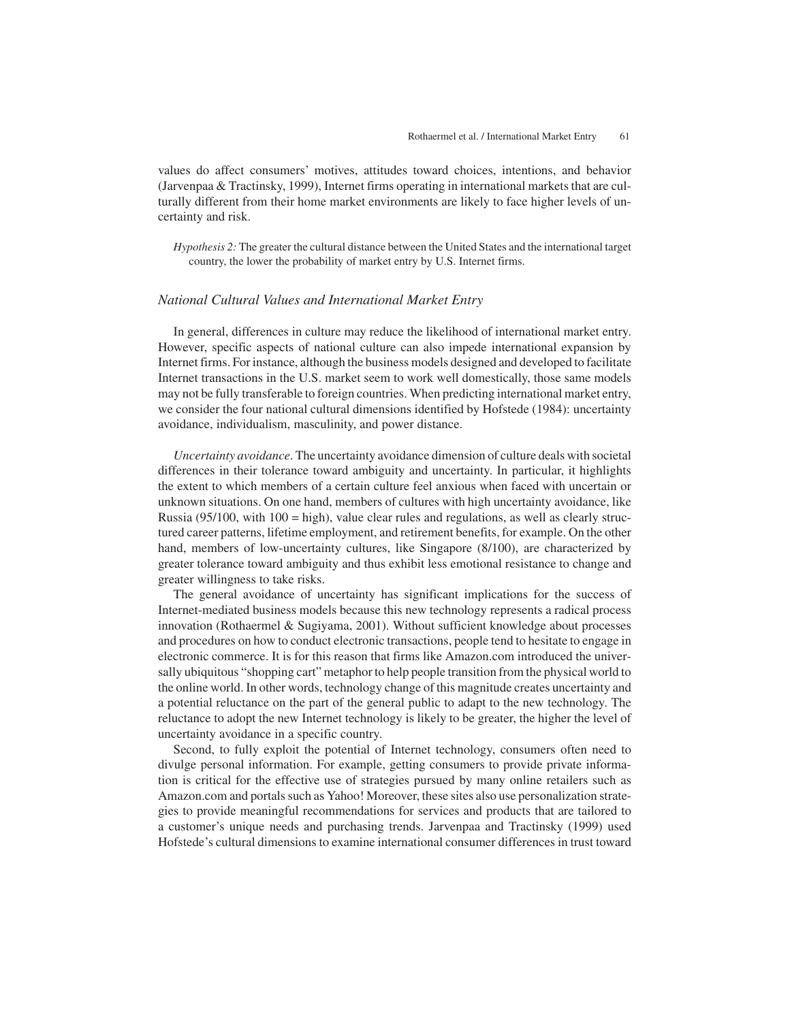values do affect consumers' motives, attitudes toward choices, intentions, and behavior (Jarvenpaa & Tractinsky, 1999), Internet firms operating in international markets that are culturally different from their home market environments are likely to face higher levels of uncertainty and risk.

*Hypothesis 2:* The greater the cultural distance between the United States and the international target country, the lower the probability of market entry by U.S. Internet firms.

#### *National Cultural Values and International Market Entry*

In general, differences in culture may reduce the likelihood of international market entry. However, specific aspects of national culture can also impede international expansion by Internet firms. For instance, although the business models designed and developed to facilitate Internet transactions in the U.S. market seem to work well domestically, those same models may not be fully transferable to foreign countries. When predicting international market entry, we consider the four national cultural dimensions identified by Hofstede (1984): uncertainty avoidance, individualism, masculinity, and power distance.

*Uncertainty avoidance*. The uncertainty avoidance dimension of culture deals with societal differences in their tolerance toward ambiguity and uncertainty. In particular, it highlights the extent to which members of a certain culture feel anxious when faced with uncertain or unknown situations. On one hand, members of cultures with high uncertainty avoidance, like Russia (95/100, with  $100 =$  high), value clear rules and regulations, as well as clearly structured career patterns, lifetime employment, and retirement benefits, for example. On the other hand, members of low-uncertainty cultures, like Singapore (8/100), are characterized by greater tolerance toward ambiguity and thus exhibit less emotional resistance to change and greater willingness to take risks.

The general avoidance of uncertainty has significant implications for the success of Internet-mediated business models because this new technology represents a radical process innovation (Rothaermel & Sugiyama, 2001). Without sufficient knowledge about processes and procedures on how to conduct electronic transactions, people tend to hesitate to engage in electronic commerce. It is for this reason that firms like Amazon.com introduced the universally ubiquitous "shopping cart" metaphor to help people transition from the physical world to the online world. In other words, technology change of this magnitude creates uncertainty and a potential reluctance on the part of the general public to adapt to the new technology. The reluctance to adopt the new Internet technology is likely to be greater, the higher the level of uncertainty avoidance in a specific country.

Second, to fully exploit the potential of Internet technology, consumers often need to divulge personal information. For example, getting consumers to provide private information is critical for the effective use of strategies pursued by many online retailers such as Amazon.com and portals such as Yahoo! Moreover, these sites also use personalization strategies to provide meaningful recommendations for services and products that are tailored to a customer's unique needs and purchasing trends. Jarvenpaa and Tractinsky (1999) used Hofstede's cultural dimensions to examine international consumer differences in trust toward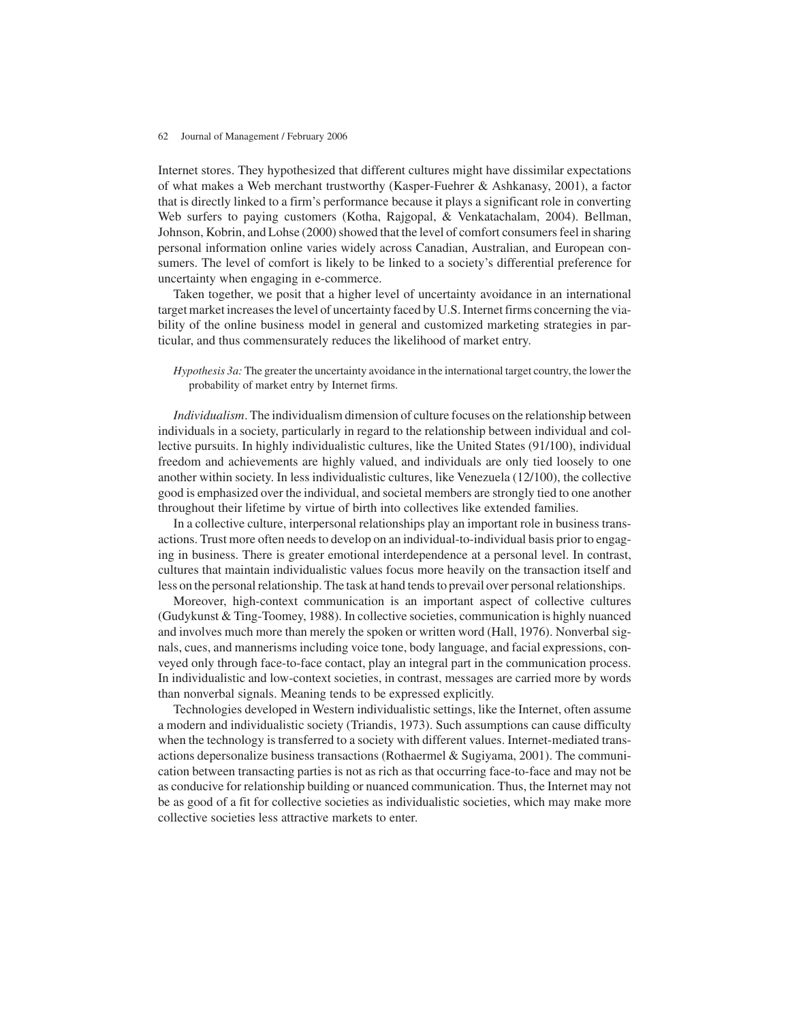Internet stores. They hypothesized that different cultures might have dissimilar expectations of what makes a Web merchant trustworthy (Kasper-Fuehrer & Ashkanasy, 2001), a factor that is directly linked to a firm's performance because it plays a significant role in converting Web surfers to paying customers (Kotha, Rajgopal, & Venkatachalam, 2004). Bellman, Johnson, Kobrin, and Lohse (2000) showed that the level of comfort consumers feel in sharing personal information online varies widely across Canadian, Australian, and European consumers. The level of comfort is likely to be linked to a society's differential preference for uncertainty when engaging in e-commerce.

Taken together, we posit that a higher level of uncertainty avoidance in an international target market increases the level of uncertainty faced by U.S. Internet firms concerning the viability of the online business model in general and customized marketing strategies in particular, and thus commensurately reduces the likelihood of market entry.

*Hypothesis 3a:* The greater the uncertainty avoidance in the international target country, the lower the probability of market entry by Internet firms.

*Individualism*. The individualism dimension of culture focuses on the relationship between individuals in a society, particularly in regard to the relationship between individual and collective pursuits. In highly individualistic cultures, like the United States (91/100), individual freedom and achievements are highly valued, and individuals are only tied loosely to one another within society. In less individualistic cultures, like Venezuela (12/100), the collective good is emphasized over the individual, and societal members are strongly tied to one another throughout their lifetime by virtue of birth into collectives like extended families.

In a collective culture, interpersonal relationships play an important role in business transactions. Trust more often needs to develop on an individual-to-individual basis prior to engaging in business. There is greater emotional interdependence at a personal level. In contrast, cultures that maintain individualistic values focus more heavily on the transaction itself and less on the personal relationship. The task at hand tends to prevail over personal relationships.

Moreover, high-context communication is an important aspect of collective cultures (Gudykunst & Ting-Toomey, 1988). In collective societies, communication is highly nuanced and involves much more than merely the spoken or written word (Hall, 1976). Nonverbal signals, cues, and mannerisms including voice tone, body language, and facial expressions, conveyed only through face-to-face contact, play an integral part in the communication process. In individualistic and low-context societies, in contrast, messages are carried more by words than nonverbal signals. Meaning tends to be expressed explicitly.

Technologies developed in Western individualistic settings, like the Internet, often assume a modern and individualistic society (Triandis, 1973). Such assumptions can cause difficulty when the technology is transferred to a society with different values. Internet-mediated transactions depersonalize business transactions (Rothaermel & Sugiyama, 2001). The communication between transacting parties is not as rich as that occurring face-to-face and may not be as conducive for relationship building or nuanced communication. Thus, the Internet may not be as good of a fit for collective societies as individualistic societies, which may make more collective societies less attractive markets to enter.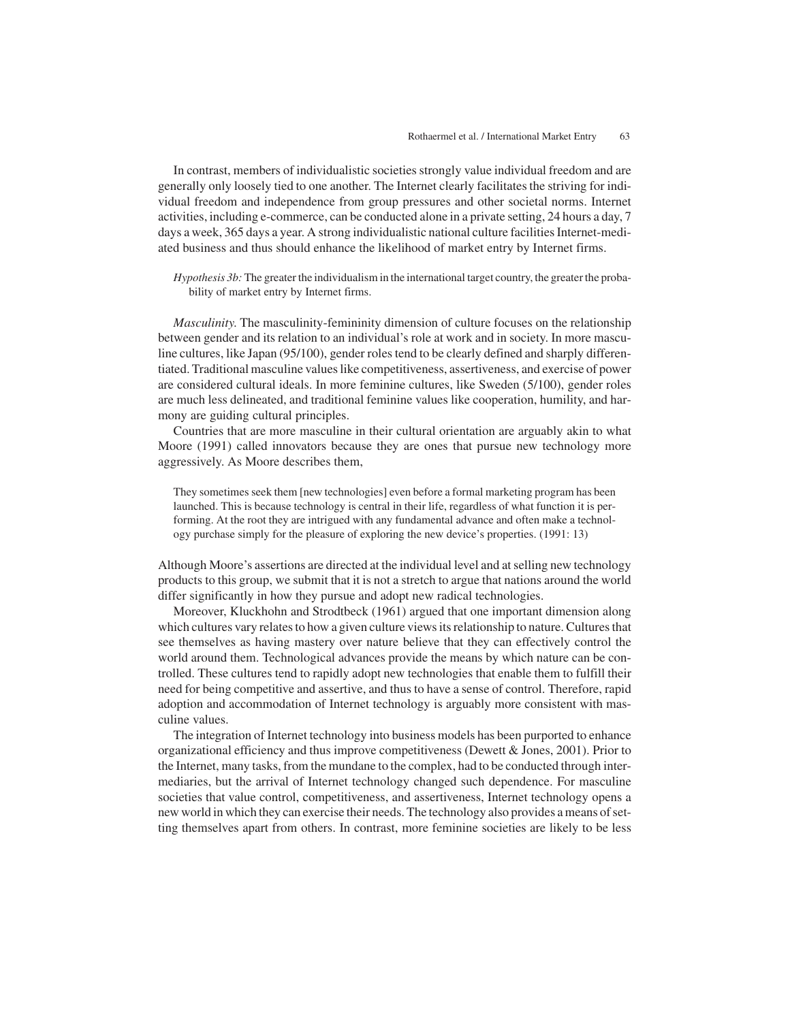In contrast, members of individualistic societies strongly value individual freedom and are generally only loosely tied to one another. The Internet clearly facilitates the striving for individual freedom and independence from group pressures and other societal norms. Internet activities, including e-commerce, can be conducted alone in a private setting, 24 hours a day, 7 days a week, 365 days a year. A strong individualistic national culture facilities Internet-mediated business and thus should enhance the likelihood of market entry by Internet firms.

*Hypothesis 3b:* The greater the individualism in the international target country, the greater the probability of market entry by Internet firms.

*Masculinity*. The masculinity-femininity dimension of culture focuses on the relationship between gender and its relation to an individual's role at work and in society. In more masculine cultures, like Japan (95/100), gender roles tend to be clearly defined and sharply differentiated. Traditional masculine values like competitiveness, assertiveness, and exercise of power are considered cultural ideals. In more feminine cultures, like Sweden (5/100), gender roles are much less delineated, and traditional feminine values like cooperation, humility, and harmony are guiding cultural principles.

Countries that are more masculine in their cultural orientation are arguably akin to what Moore (1991) called innovators because they are ones that pursue new technology more aggressively. As Moore describes them,

They sometimes seek them [new technologies] even before a formal marketing program has been launched. This is because technology is central in their life, regardless of what function it is performing. At the root they are intrigued with any fundamental advance and often make a technology purchase simply for the pleasure of exploring the new device's properties. (1991: 13)

Although Moore's assertions are directed at the individual level and at selling new technology products to this group, we submit that it is not a stretch to argue that nations around the world differ significantly in how they pursue and adopt new radical technologies.

Moreover, Kluckhohn and Strodtbeck (1961) argued that one important dimension along which cultures vary relates to how a given culture views its relationship to nature. Cultures that see themselves as having mastery over nature believe that they can effectively control the world around them. Technological advances provide the means by which nature can be controlled. These cultures tend to rapidly adopt new technologies that enable them to fulfill their need for being competitive and assertive, and thus to have a sense of control. Therefore, rapid adoption and accommodation of Internet technology is arguably more consistent with masculine values.

The integration of Internet technology into business models has been purported to enhance organizational efficiency and thus improve competitiveness (Dewett & Jones, 2001). Prior to the Internet, many tasks, from the mundane to the complex, had to be conducted through intermediaries, but the arrival of Internet technology changed such dependence. For masculine societies that value control, competitiveness, and assertiveness, Internet technology opens a new world in which they can exercise their needs. The technology also provides a means of setting themselves apart from others. In contrast, more feminine societies are likely to be less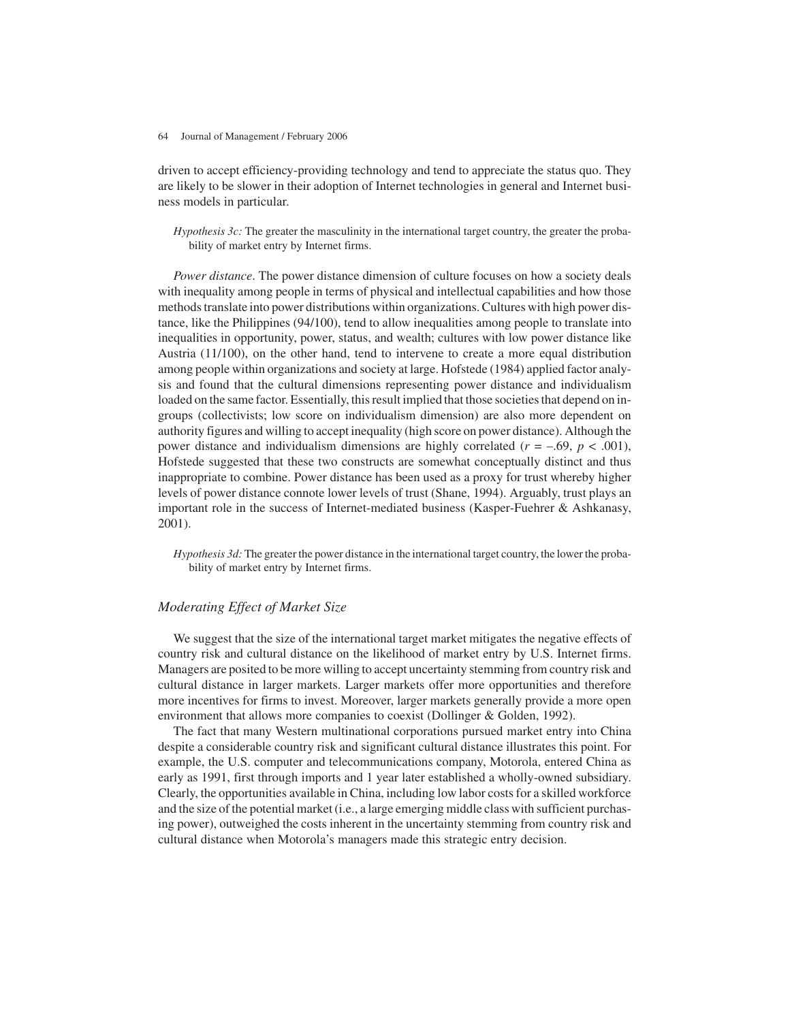driven to accept efficiency-providing technology and tend to appreciate the status quo. They are likely to be slower in their adoption of Internet technologies in general and Internet business models in particular.

*Hypothesis 3c:* The greater the masculinity in the international target country, the greater the probability of market entry by Internet firms.

*Power distance*. The power distance dimension of culture focuses on how a society deals with inequality among people in terms of physical and intellectual capabilities and how those methods translate into power distributions within organizations. Cultures with high power distance, like the Philippines (94/100), tend to allow inequalities among people to translate into inequalities in opportunity, power, status, and wealth; cultures with low power distance like Austria (11/100), on the other hand, tend to intervene to create a more equal distribution among people within organizations and society at large. Hofstede (1984) applied factor analysis and found that the cultural dimensions representing power distance and individualism loaded on the same factor. Essentially, this result implied that those societies that depend on ingroups (collectivists; low score on individualism dimension) are also more dependent on authority figures and willing to accept inequality (high score on power distance). Although the power distance and individualism dimensions are highly correlated  $(r = -.69, p < .001)$ , Hofstede suggested that these two constructs are somewhat conceptually distinct and thus inappropriate to combine. Power distance has been used as a proxy for trust whereby higher levels of power distance connote lower levels of trust (Shane, 1994). Arguably, trust plays an important role in the success of Internet-mediated business (Kasper-Fuehrer & Ashkanasy, 2001).

*Hypothesis 3d:* The greater the power distance in the international target country, the lower the probability of market entry by Internet firms.

#### *Moderating Effect of Market Size*

We suggest that the size of the international target market mitigates the negative effects of country risk and cultural distance on the likelihood of market entry by U.S. Internet firms. Managers are posited to be more willing to accept uncertainty stemming from country risk and cultural distance in larger markets. Larger markets offer more opportunities and therefore more incentives for firms to invest. Moreover, larger markets generally provide a more open environment that allows more companies to coexist (Dollinger & Golden, 1992).

The fact that many Western multinational corporations pursued market entry into China despite a considerable country risk and significant cultural distance illustrates this point. For example, the U.S. computer and telecommunications company, Motorola, entered China as early as 1991, first through imports and 1 year later established a wholly-owned subsidiary. Clearly, the opportunities available in China, including low labor costs for a skilled workforce and the size of the potential market (i.e., a large emerging middle class with sufficient purchasing power), outweighed the costs inherent in the uncertainty stemming from country risk and cultural distance when Motorola's managers made this strategic entry decision.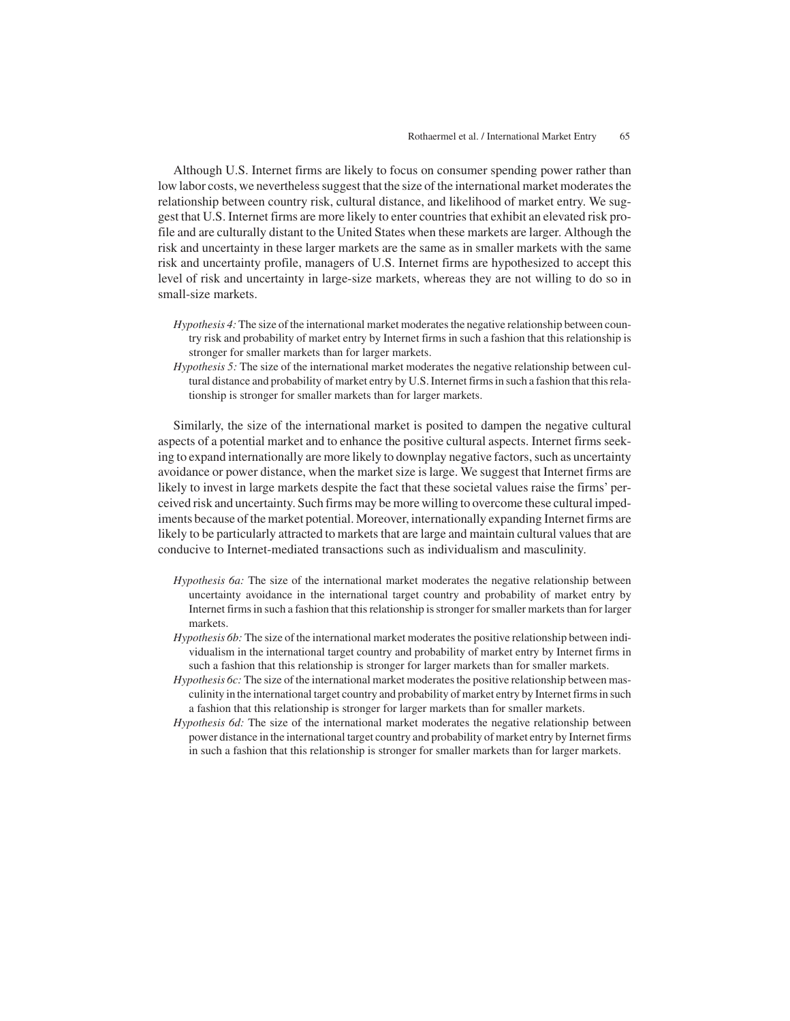Although U.S. Internet firms are likely to focus on consumer spending power rather than low labor costs, we nevertheless suggest that the size of the international market moderates the relationship between country risk, cultural distance, and likelihood of market entry. We suggest that U.S. Internet firms are more likely to enter countries that exhibit an elevated risk profile and are culturally distant to the United States when these markets are larger. Although the risk and uncertainty in these larger markets are the same as in smaller markets with the same risk and uncertainty profile, managers of U.S. Internet firms are hypothesized to accept this level of risk and uncertainty in large-size markets, whereas they are not willing to do so in small-size markets.

- *Hypothesis 4:* The size of the international market moderates the negative relationship between country risk and probability of market entry by Internet firms in such a fashion that this relationship is stronger for smaller markets than for larger markets.
- *Hypothesis 5:* The size of the international market moderates the negative relationship between cultural distance and probability of market entry by U.S. Internet firms in such a fashion that this relationship is stronger for smaller markets than for larger markets.

Similarly, the size of the international market is posited to dampen the negative cultural aspects of a potential market and to enhance the positive cultural aspects. Internet firms seeking to expand internationally are more likely to downplay negative factors, such as uncertainty avoidance or power distance, when the market size is large. We suggest that Internet firms are likely to invest in large markets despite the fact that these societal values raise the firms' perceived risk and uncertainty. Such firms may be more willing to overcome these cultural impediments because of the market potential. Moreover, internationally expanding Internet firms are likely to be particularly attracted to markets that are large and maintain cultural values that are conducive to Internet-mediated transactions such as individualism and masculinity.

- *Hypothesis 6a:* The size of the international market moderates the negative relationship between uncertainty avoidance in the international target country and probability of market entry by Internet firms in such a fashion that this relationship is stronger for smaller markets than for larger markets.
- *Hypothesis 6b:* The size of the international market moderates the positive relationship between individualism in the international target country and probability of market entry by Internet firms in such a fashion that this relationship is stronger for larger markets than for smaller markets.
- *Hypothesis 6c:* The size of the international market moderates the positive relationship between masculinity in the international target country and probability of market entry by Internet firms in such a fashion that this relationship is stronger for larger markets than for smaller markets.
- *Hypothesis 6d:* The size of the international market moderates the negative relationship between power distance in the international target country and probability of market entry by Internet firms in such a fashion that this relationship is stronger for smaller markets than for larger markets.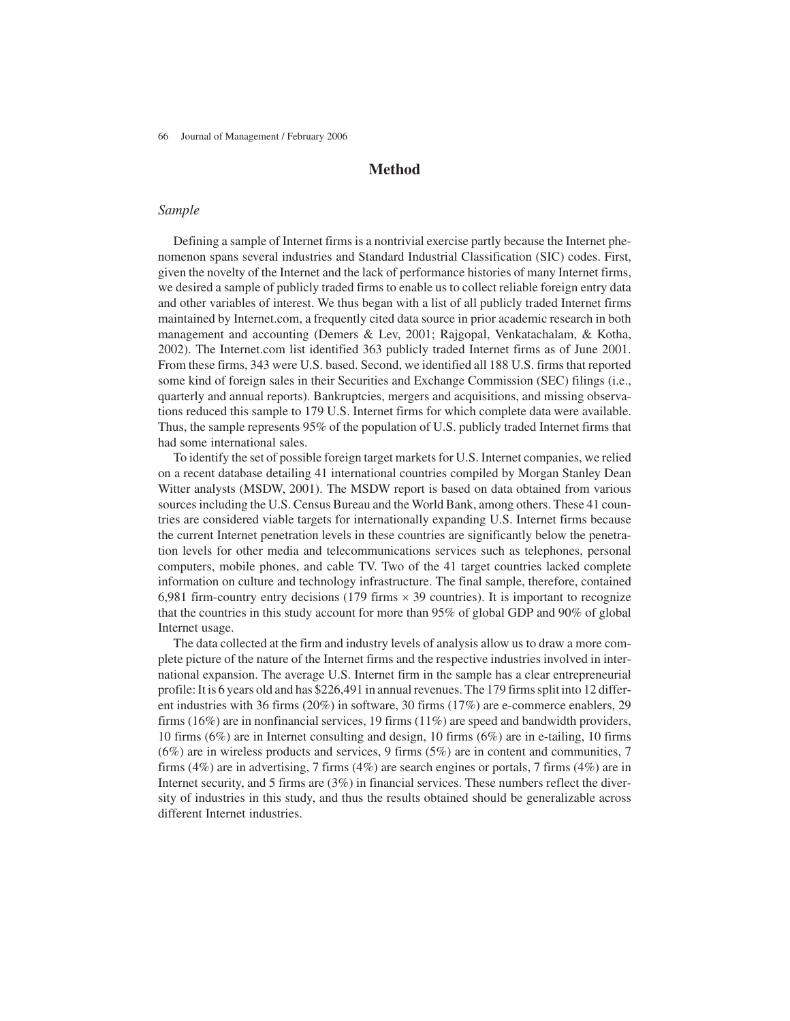## **Method**

#### *Sample*

Defining a sample of Internet firms is a nontrivial exercise partly because the Internet phenomenon spans several industries and Standard Industrial Classification (SIC) codes. First, given the novelty of the Internet and the lack of performance histories of many Internet firms, we desired a sample of publicly traded firms to enable us to collect reliable foreign entry data and other variables of interest. We thus began with a list of all publicly traded Internet firms maintained by Internet.com, a frequently cited data source in prior academic research in both management and accounting (Demers & Lev, 2001; Rajgopal, Venkatachalam, & Kotha, 2002). The Internet.com list identified 363 publicly traded Internet firms as of June 2001. From these firms, 343 were U.S. based. Second, we identified all 188 U.S. firms that reported some kind of foreign sales in their Securities and Exchange Commission (SEC) filings (i.e., quarterly and annual reports). Bankruptcies, mergers and acquisitions, and missing observations reduced this sample to 179 U.S. Internet firms for which complete data were available. Thus, the sample represents 95% of the population of U.S. publicly traded Internet firms that had some international sales.

To identify the set of possible foreign target markets for U.S. Internet companies, we relied on a recent database detailing 41 international countries compiled by Morgan Stanley Dean Witter analysts (MSDW, 2001). The MSDW report is based on data obtained from various sources including the U.S. Census Bureau and the World Bank, among others. These 41 countries are considered viable targets for internationally expanding U.S. Internet firms because the current Internet penetration levels in these countries are significantly below the penetration levels for other media and telecommunications services such as telephones, personal computers, mobile phones, and cable TV. Two of the 41 target countries lacked complete information on culture and technology infrastructure. The final sample, therefore, contained 6,981 firm-country entry decisions (179 firms  $\times$  39 countries). It is important to recognize that the countries in this study account for more than 95% of global GDP and 90% of global Internet usage.

The data collected at the firm and industry levels of analysis allow us to draw a more complete picture of the nature of the Internet firms and the respective industries involved in international expansion. The average U.S. Internet firm in the sample has a clear entrepreneurial profile: It is 6 years old and has \$226,491 in annual revenues. The 179 firms split into 12 different industries with 36 firms (20%) in software, 30 firms (17%) are e-commerce enablers, 29 firms (16%) are in nonfinancial services, 19 firms (11%) are speed and bandwidth providers, 10 firms (6%) are in Internet consulting and design, 10 firms (6%) are in e-tailing, 10 firms (6%) are in wireless products and services, 9 firms (5%) are in content and communities, 7 firms (4%) are in advertising, 7 firms (4%) are search engines or portals, 7 firms (4%) are in Internet security, and 5 firms are (3%) in financial services. These numbers reflect the diversity of industries in this study, and thus the results obtained should be generalizable across different Internet industries.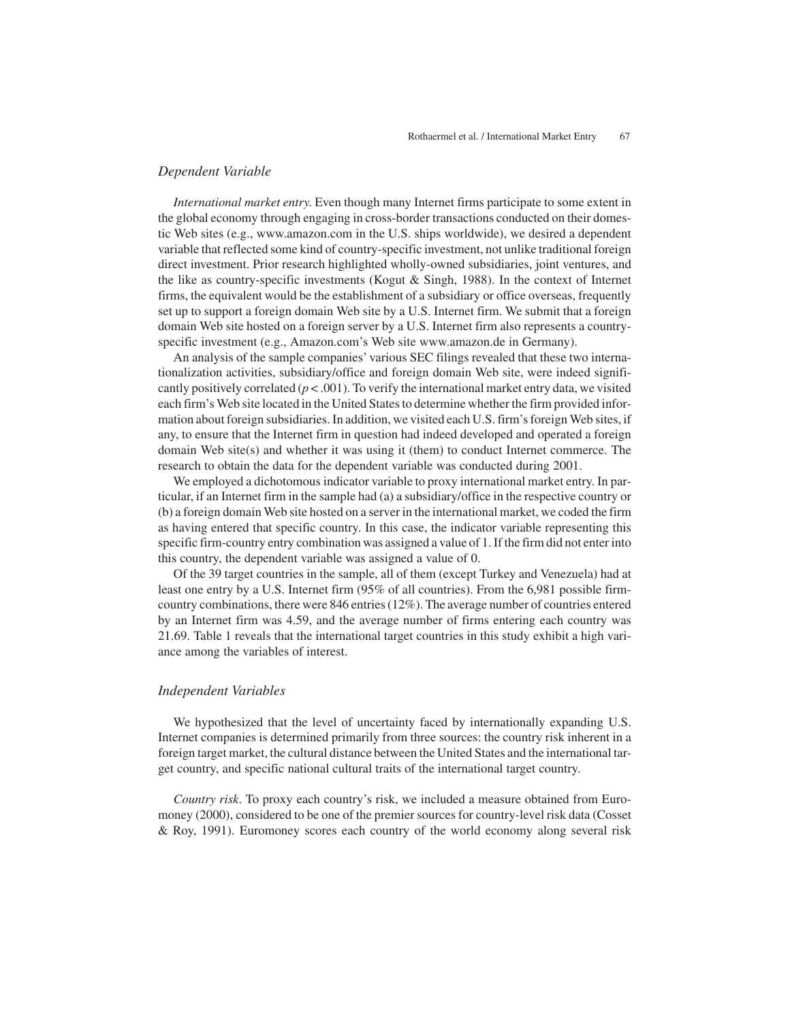### *Dependent Variable*

*International market entry*. Even though many Internet firms participate to some extent in the global economy through engaging in cross-border transactions conducted on their domestic Web sites (e.g., www.amazon.com in the U.S. ships worldwide), we desired a dependent variable that reflected some kind of country-specific investment, not unlike traditional foreign direct investment. Prior research highlighted wholly-owned subsidiaries, joint ventures, and the like as country-specific investments (Kogut & Singh, 1988). In the context of Internet firms, the equivalent would be the establishment of a subsidiary or office overseas, frequently set up to support a foreign domain Web site by a U.S. Internet firm. We submit that a foreign domain Web site hosted on a foreign server by a U.S. Internet firm also represents a countryspecific investment (e.g., Amazon.com's Web site www.amazon.de in Germany).

An analysis of the sample companies' various SEC filings revealed that these two internationalization activities, subsidiary/office and foreign domain Web site, were indeed significantly positively correlated ( $p < .001$ ). To verify the international market entry data, we visited each firm's Web site located in the United States to determine whether the firm provided information about foreign subsidiaries. In addition, we visited each U.S. firm's foreign Web sites, if any, to ensure that the Internet firm in question had indeed developed and operated a foreign domain Web site(s) and whether it was using it (them) to conduct Internet commerce. The research to obtain the data for the dependent variable was conducted during 2001.

We employed a dichotomous indicator variable to proxy international market entry. In particular, if an Internet firm in the sample had (a) a subsidiary/office in the respective country or (b) a foreign domain Web site hosted on a server in the international market, we coded the firm as having entered that specific country. In this case, the indicator variable representing this specific firm-country entry combination was assigned a value of 1. If the firm did not enter into this country, the dependent variable was assigned a value of 0.

Of the 39 target countries in the sample, all of them (except Turkey and Venezuela) had at least one entry by a U.S. Internet firm (95% of all countries). From the 6,981 possible firmcountry combinations, there were 846 entries (12%). The average number of countries entered by an Internet firm was 4.59, and the average number of firms entering each country was 21.69. Table 1 reveals that the international target countries in this study exhibit a high variance among the variables of interest.

#### *Independent Variables*

We hypothesized that the level of uncertainty faced by internationally expanding U.S. Internet companies is determined primarily from three sources: the country risk inherent in a foreign target market, the cultural distance between the United States and the international target country, and specific national cultural traits of the international target country.

*Country risk*. To proxy each country's risk, we included a measure obtained from Euromoney (2000), considered to be one of the premier sources for country-level risk data (Cosset & Roy, 1991). Euromoney scores each country of the world economy along several risk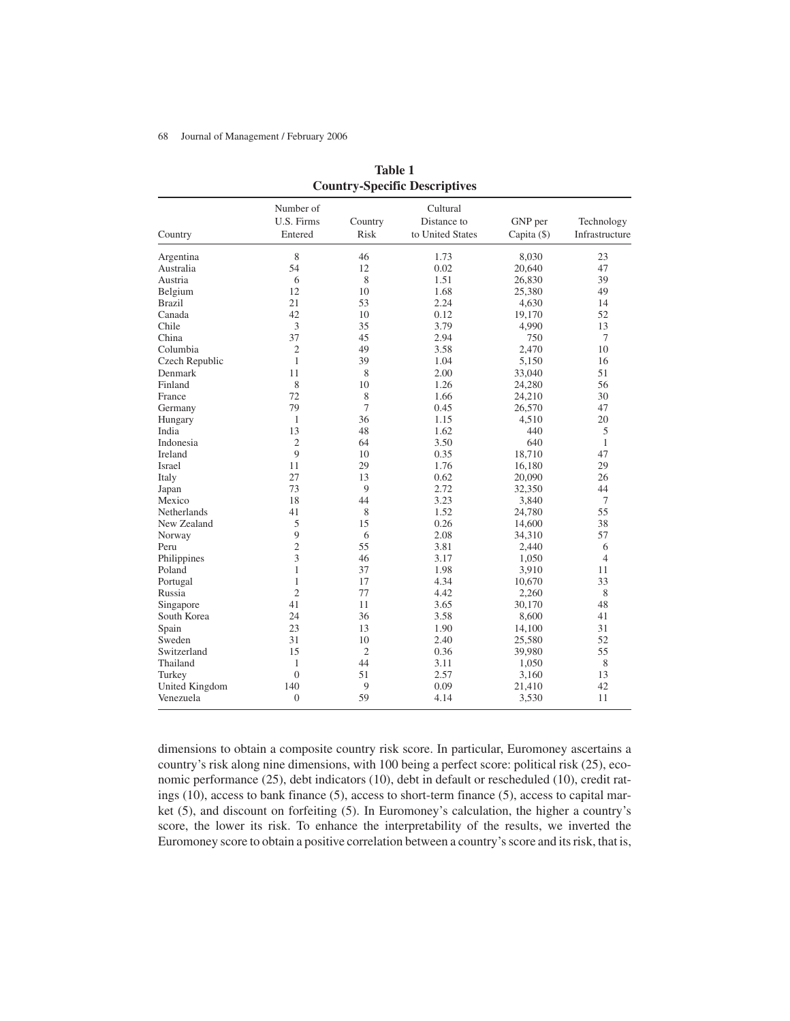| Country               | Number of<br>U.S. Firms<br>Entered | Country<br>Risk | Cultural<br>Distance to<br>to United States | GNP per<br>Capita (\$) | Technology<br>Infrastructure |
|-----------------------|------------------------------------|-----------------|---------------------------------------------|------------------------|------------------------------|
| Argentina             | 8                                  | 46              | 1.73                                        | 8,030                  | 23                           |
| Australia             | 54                                 | 12              | 0.02                                        | 20,640                 | 47                           |
| Austria               | 6                                  | 8               | 1.51                                        | 26,830                 | 39                           |
| Belgium               | 12                                 | 10              | 1.68                                        | 25,380                 | 49                           |
| <b>Brazil</b>         | 21                                 | 53              | 2.24                                        | 4,630                  | 14                           |
| Canada                | 42                                 | 10              | 0.12                                        | 19,170                 | 52                           |
| Chile                 | 3                                  | 35              | 3.79                                        | 4,990                  | 13                           |
| China                 | 37                                 | 45              | 2.94                                        | 750                    | $\tau$                       |
| Columbia              | $\overline{2}$                     | 49              | 3.58                                        | 2,470                  | 10                           |
| Czech Republic        | $\mathbf{1}$                       | 39              | 1.04                                        | 5,150                  | 16                           |
| Denmark               | 11                                 | 8               | 2.00                                        | 33,040                 | 51                           |
| Finland               | 8                                  | 10              | 1.26                                        | 24,280                 | 56                           |
| France                | 72                                 | 8               | 1.66                                        | 24,210                 | 30                           |
| Germany               | 79                                 | 7               | 0.45                                        | 26,570                 | 47                           |
| Hungary               | $\mathbf{1}$                       | 36              | 1.15                                        | 4,510                  | 20                           |
| India                 | 13                                 | 48              | 1.62                                        | 440                    | 5                            |
| Indonesia             | $\overline{2}$                     | 64              | 3.50                                        | 640                    | $\mathbf{1}$                 |
| Ireland               | 9                                  | 10              | 0.35                                        | 18,710                 | 47                           |
| Israel                | 11                                 | 29              | 1.76                                        | 16,180                 | 29                           |
| Italy                 | 27                                 | 13              | 0.62                                        | 20,090                 | 26                           |
| Japan                 | 73                                 | 9               | 2.72                                        | 32,350                 | 44                           |
| Mexico                | 18                                 | 44              | 3.23                                        | 3,840                  | 7                            |
| <b>Netherlands</b>    | 41                                 | 8               | 1.52                                        | 24,780                 | 55                           |
| New Zealand           | 5                                  | 15              | 0.26                                        | 14,600                 | 38                           |
| Norway                | 9                                  | 6               | 2.08                                        | 34,310                 | 57                           |
| Peru                  | $\overline{c}$                     | 55              | 3.81                                        | 2,440                  | 6                            |
| Philippines           | 3                                  | 46              | 3.17                                        | 1,050                  | $\overline{4}$               |
| Poland                | $\mathbf{1}$                       | 37              | 1.98                                        | 3,910                  | 11                           |
| Portugal              | $\mathbf{1}$                       | 17              | 4.34                                        | 10,670                 | 33                           |
| Russia                | $\overline{c}$                     | 77              | 4.42                                        | 2,260                  | 8                            |
| Singapore             | 41                                 | 11              | 3.65                                        | 30,170                 | 48                           |
| South Korea           | 24                                 | 36              | 3.58                                        | 8,600                  | 41                           |
| Spain                 | 23                                 | 13              | 1.90                                        | 14,100                 | 31                           |
| Sweden                | 31                                 | 10              | 2.40                                        | 25,580                 | 52                           |
| Switzerland           | 15                                 | $\overline{c}$  | 0.36                                        | 39,980                 | 55                           |
| Thailand              | 1                                  | 44              | 3.11                                        | 1,050                  | 8                            |
| Turkey                | $\overline{0}$                     | 51              | 2.57                                        | 3,160                  | 13                           |
| <b>United Kingdom</b> | 140                                | 9               | 0.09                                        | 21,410                 | 42                           |
| Venezuela             | $\overline{0}$                     | 59              | 4.14                                        | 3,530                  | 11                           |

| <b>Table 1</b>                       |  |
|--------------------------------------|--|
| <b>Country-Specific Descriptives</b> |  |

dimensions to obtain a composite country risk score. In particular, Euromoney ascertains a country's risk along nine dimensions, with 100 being a perfect score: political risk (25), economic performance (25), debt indicators (10), debt in default or rescheduled (10), credit ratings (10), access to bank finance (5), access to short-term finance (5), access to capital market (5), and discount on forfeiting (5). In Euromoney's calculation, the higher a country's score, the lower its risk. To enhance the interpretability of the results, we inverted the Euromoney score to obtain a positive correlation between a country's score and its risk, that is,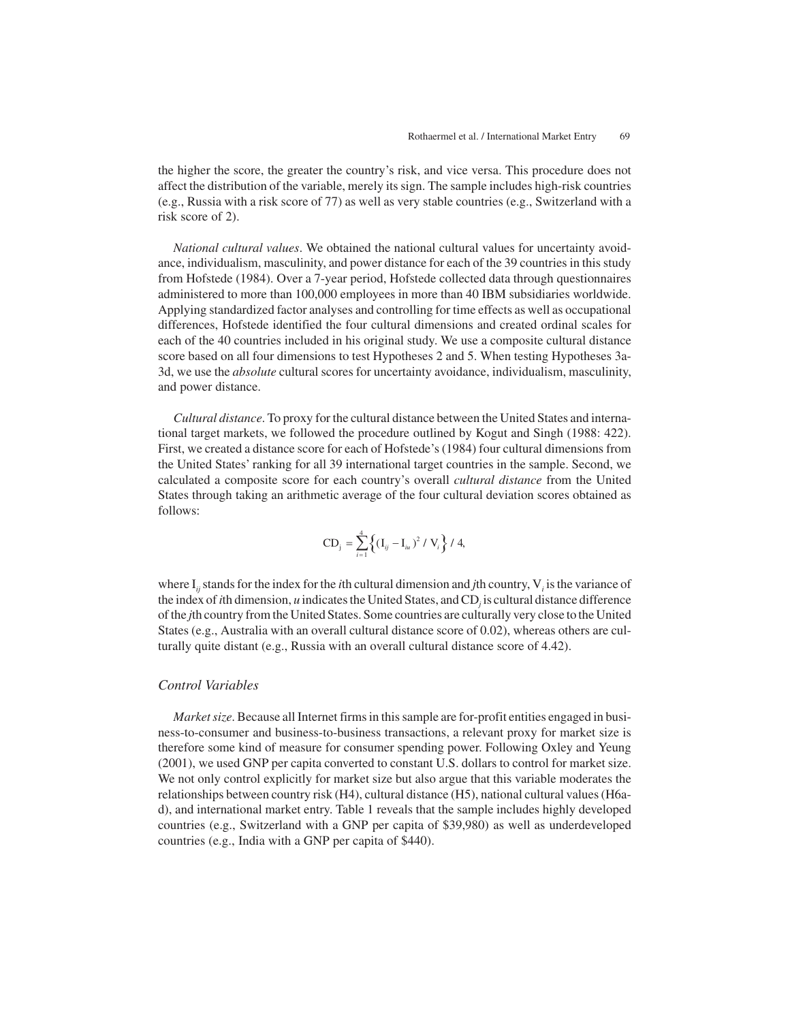the higher the score, the greater the country's risk, and vice versa. This procedure does not affect the distribution of the variable, merely its sign. The sample includes high-risk countries (e.g., Russia with a risk score of 77) as well as very stable countries (e.g., Switzerland with a risk score of 2).

*National cultural values*. We obtained the national cultural values for uncertainty avoidance, individualism, masculinity, and power distance for each of the 39 countries in this study from Hofstede (1984). Over a 7-year period, Hofstede collected data through questionnaires administered to more than 100,000 employees in more than 40 IBM subsidiaries worldwide. Applying standardized factor analyses and controlling for time effects as well as occupational differences, Hofstede identified the four cultural dimensions and created ordinal scales for each of the 40 countries included in his original study. We use a composite cultural distance score based on all four dimensions to test Hypotheses 2 and 5. When testing Hypotheses 3a-3d, we use the *absolute* cultural scores for uncertainty avoidance, individualism, masculinity, and power distance.

*Cultural distance*. To proxy for the cultural distance between the United States and international target markets, we followed the procedure outlined by Kogut and Singh (1988: 422). First, we created a distance score for each of Hofstede's (1984) four cultural dimensions from the United States' ranking for all 39 international target countries in the sample. Second, we calculated a composite score for each country's overall *cultural distance* from the United States through taking an arithmetic average of the four cultural deviation scores obtained as follows:

$$
CD_j = \sum_{i=1}^{4} \left\{ \left( I_{ij} - I_{iu} \right)^2 / V_i \right\} / 4,
$$

where I*ij*stands for the index for the *i*th cultural dimension and *j*th country, V*<sup>i</sup>* is the variance of the index of*i*th dimension, *u* indicates the United States, and CD*<sup>j</sup>* is cultural distance difference of the *j*th country from the United States. Some countries are culturally very close to the United States (e.g., Australia with an overall cultural distance score of 0.02), whereas others are culturally quite distant (e.g., Russia with an overall cultural distance score of 4.42).

#### *Control Variables*

*Market size*. Because all Internet firms in this sample are for-profit entities engaged in business-to-consumer and business-to-business transactions, a relevant proxy for market size is therefore some kind of measure for consumer spending power. Following Oxley and Yeung (2001), we used GNP per capita converted to constant U.S. dollars to control for market size. We not only control explicitly for market size but also argue that this variable moderates the relationships between country risk (H4), cultural distance (H5), national cultural values (H6ad), and international market entry. Table 1 reveals that the sample includes highly developed countries (e.g., Switzerland with a GNP per capita of \$39,980) as well as underdeveloped countries (e.g., India with a GNP per capita of \$440).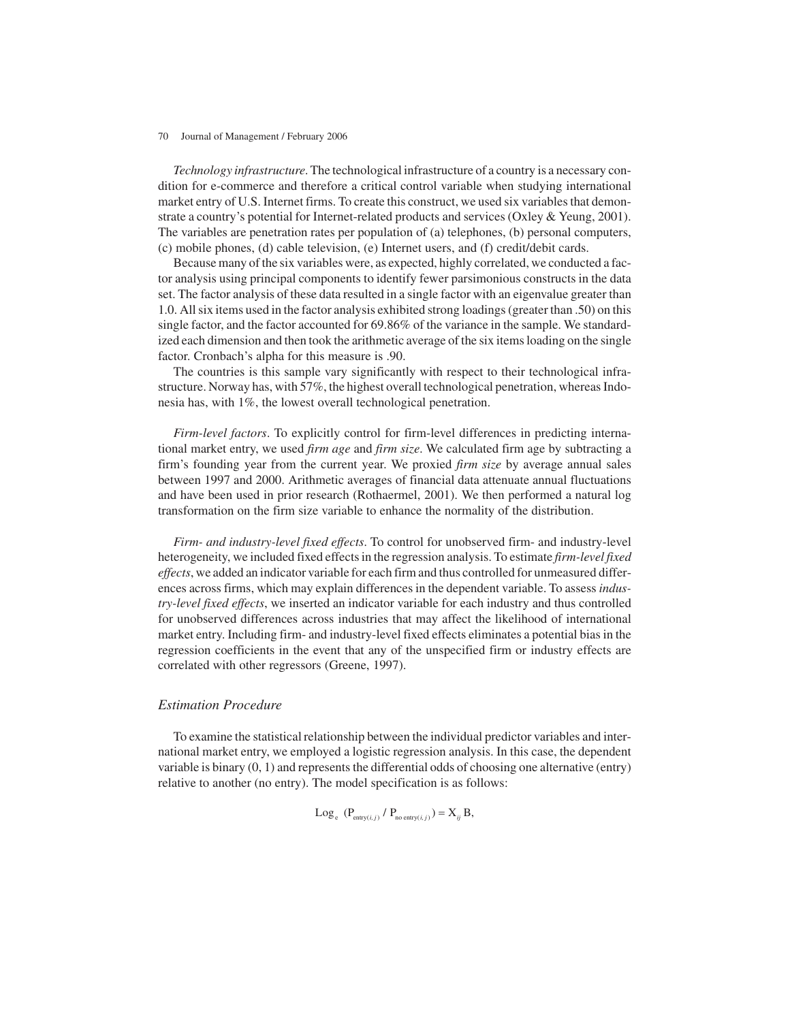*Technology infrastructure*. The technological infrastructure of a country is a necessary condition for e-commerce and therefore a critical control variable when studying international market entry of U.S. Internet firms. To create this construct, we used six variables that demonstrate a country's potential for Internet-related products and services (Oxley & Yeung, 2001). The variables are penetration rates per population of (a) telephones, (b) personal computers, (c) mobile phones, (d) cable television, (e) Internet users, and (f) credit/debit cards.

Because many of the six variables were, as expected, highly correlated, we conducted a factor analysis using principal components to identify fewer parsimonious constructs in the data set. The factor analysis of these data resulted in a single factor with an eigenvalue greater than 1.0. All six items used in the factor analysis exhibited strong loadings (greater than .50) on this single factor, and the factor accounted for 69.86% of the variance in the sample. We standardized each dimension and then took the arithmetic average of the six items loading on the single factor. Cronbach's alpha for this measure is .90.

The countries is this sample vary significantly with respect to their technological infrastructure. Norway has, with 57%, the highest overall technological penetration, whereas Indonesia has, with 1%, the lowest overall technological penetration.

*Firm-level factors*. To explicitly control for firm-level differences in predicting international market entry, we used *firm age* and *firm size*. We calculated firm age by subtracting a firm's founding year from the current year. We proxied *firm size* by average annual sales between 1997 and 2000. Arithmetic averages of financial data attenuate annual fluctuations and have been used in prior research (Rothaermel, 2001). We then performed a natural log transformation on the firm size variable to enhance the normality of the distribution.

*Firm- and industry-level fixed effects*. To control for unobserved firm- and industry-level heterogeneity, we included fixed effects in the regression analysis. To estimate *firm-level fixed effects*, we added an indicator variable for each firm and thus controlled for unmeasured differences across firms, which may explain differences in the dependent variable. To assess *industry-level fixed effects*, we inserted an indicator variable for each industry and thus controlled for unobserved differences across industries that may affect the likelihood of international market entry. Including firm- and industry-level fixed effects eliminates a potential bias in the regression coefficients in the event that any of the unspecified firm or industry effects are correlated with other regressors (Greene, 1997).

### *Estimation Procedure*

To examine the statistical relationship between the individual predictor variables and international market entry, we employed a logistic regression analysis. In this case, the dependent variable is binary (0, 1) and represents the differential odds of choosing one alternative (entry) relative to another (no entry). The model specification is as follows:

$$
\text{Log}_{e} \ (P_{\text{entry}(i,j)} / P_{\text{no entry}(i,j)}) = X_{ij} B,
$$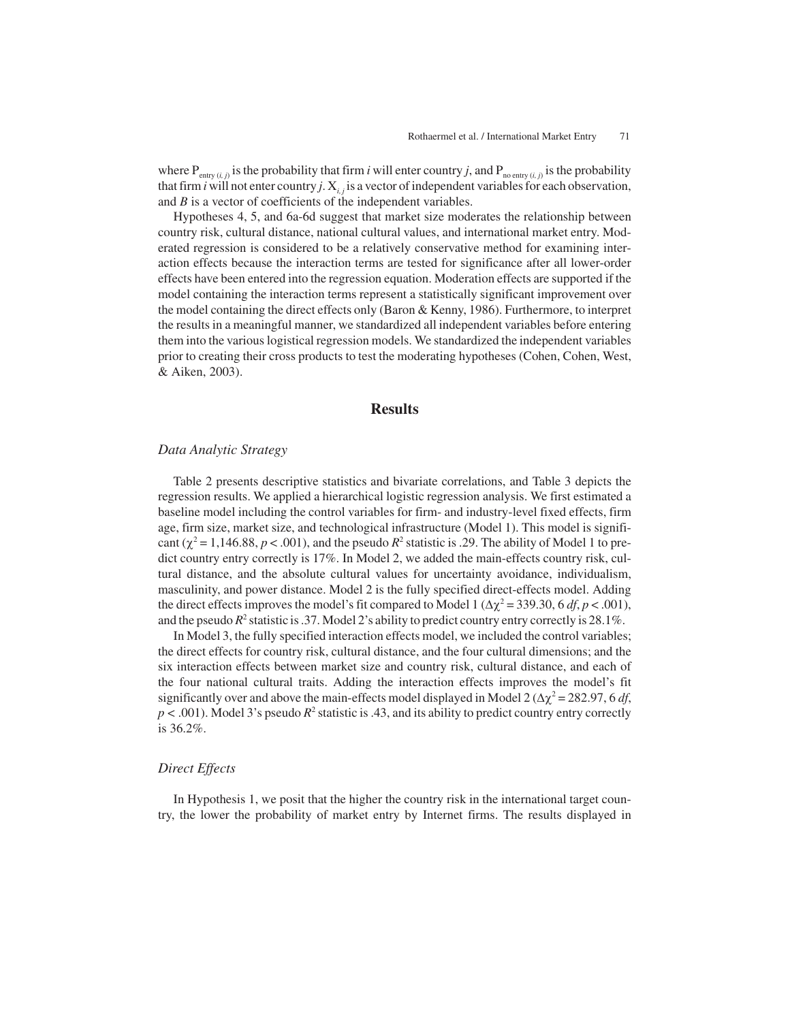where  $P_{\text{entry}(i,j)}$  is the probability that firm *i* will enter country *j*, and  $P_{\text{no entry}(i,j)}$  is the probability that firm *i* will not enter country *j*. X*i, j* is a vector of independent variables for each observation, and *B* is a vector of coefficients of the independent variables.

Hypotheses 4, 5, and 6a-6d suggest that market size moderates the relationship between country risk, cultural distance, national cultural values, and international market entry. Moderated regression is considered to be a relatively conservative method for examining interaction effects because the interaction terms are tested for significance after all lower-order effects have been entered into the regression equation. Moderation effects are supported if the model containing the interaction terms represent a statistically significant improvement over the model containing the direct effects only (Baron & Kenny, 1986). Furthermore, to interpret the results in a meaningful manner, we standardized all independent variables before entering them into the various logistical regression models. We standardized the independent variables prior to creating their cross products to test the moderating hypotheses (Cohen, Cohen, West, & Aiken, 2003).

#### **Results**

#### *Data Analytic Strategy*

Table 2 presents descriptive statistics and bivariate correlations, and Table 3 depicts the regression results. We applied a hierarchical logistic regression analysis. We first estimated a baseline model including the control variables for firm- and industry-level fixed effects, firm age, firm size, market size, and technological infrastructure (Model 1). This model is significant ( $\chi^2$  = 1,146.88, *p* < .001), and the pseudo *R*<sup>2</sup> statistic is .29. The ability of Model 1 to predict country entry correctly is 17%. In Model 2, we added the main-effects country risk, cultural distance, and the absolute cultural values for uncertainty avoidance, individualism, masculinity, and power distance. Model 2 is the fully specified direct-effects model. Adding the direct effects improves the model's fit compared to Model 1 ( $\Delta \chi^2$  = 339.30, 6 *df*, *p* < .001), and the pseudo  $R^2$  statistic is .37. Model 2's ability to predict country entry correctly is 28.1%.

In Model 3, the fully specified interaction effects model, we included the control variables; the direct effects for country risk, cultural distance, and the four cultural dimensions; and the six interaction effects between market size and country risk, cultural distance, and each of the four national cultural traits. Adding the interaction effects improves the model's fit significantly over and above the main-effects model displayed in Model 2 ( $\Delta \chi^2$  = 282.97, 6 *df*,  $p < .001$ ). Model 3's pseudo  $R^2$  statistic is .43, and its ability to predict country entry correctly is 36.2%.

#### *Direct Effects*

In Hypothesis 1, we posit that the higher the country risk in the international target country, the lower the probability of market entry by Internet firms. The results displayed in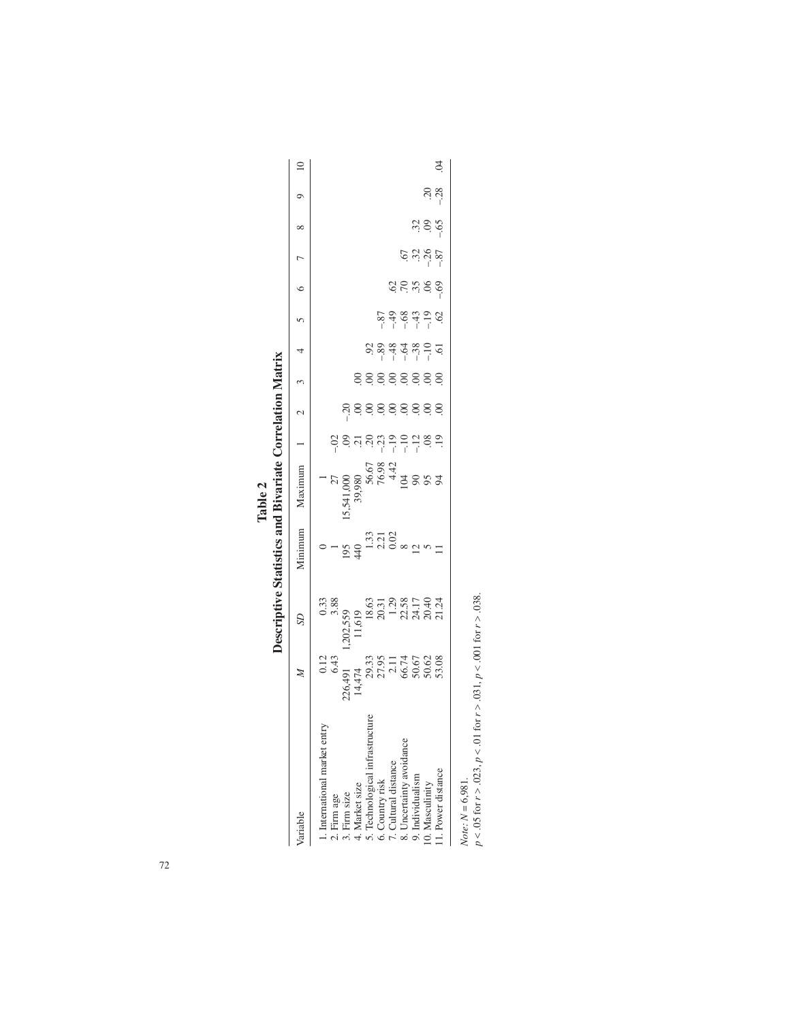| /ariable                        | $\mathbb{Z}$                                                                        | S <sub>D</sub>                                                                               | Minimum                                        | Maximum                      |                               | $\sim$   | 3        | 4          | 5                       | $\circ$ |                   | $\infty$        |            | $\overline{10}$ |
|---------------------------------|-------------------------------------------------------------------------------------|----------------------------------------------------------------------------------------------|------------------------------------------------|------------------------------|-------------------------------|----------|----------|------------|-------------------------|---------|-------------------|-----------------|------------|-----------------|
| . International market entry    |                                                                                     |                                                                                              |                                                |                              |                               |          |          |            |                         |         |                   |                 |            |                 |
|                                 | $0.12$<br>6.43                                                                      | $\frac{33}{3.88}$                                                                            |                                                |                              | $-0$                          |          |          |            |                         |         |                   |                 |            |                 |
| 2. Firm age<br>3. Firm size     | 226,491                                                                             | 1,202,559                                                                                    |                                                | 15,541,000                   |                               | $-20$    |          |            |                         |         |                   |                 |            |                 |
| 4. Market size                  | 14,474                                                                              | 1,619                                                                                        | $\frac{195}{26}$                               | 39,980                       |                               | $\odot$  | $\infty$ |            |                         |         |                   |                 |            |                 |
| 5. Technological infrastructure |                                                                                     |                                                                                              |                                                |                              | 용 <sub>적 </sub> 육 원 위 음 음 역 음 |          |          |            |                         |         |                   |                 |            |                 |
| 6. Country risk                 |                                                                                     |                                                                                              |                                                |                              |                               |          |          |            |                         |         |                   |                 |            |                 |
| 7. Cultural distance            | $\begin{array}{c} 29.33 \\ 27.95 \\ 21.11 \\ 66.67 \\ 50.62 \\ 50.8 \\ \end{array}$ | $\begin{array}{l} 18.63 \\ 20.31 \\ 21.28 \\ 1.58 \\ 21.41 \\ 22.54 \\ 21.24 \\ \end{array}$ | $1.33$<br>$1.30$<br>$1.30$<br>$1.30$<br>$1.50$ | 2623<br>2634<br>2634<br>2824 |                               | 888888   | 888888   | 9.88458775 | )<br>동육영육의 영<br>그 그 그 그 |         |                   |                 |            |                 |
| 8. Uncertainty avoidance        |                                                                                     |                                                                                              |                                                |                              |                               |          |          |            |                         |         |                   |                 |            |                 |
| 9. Individualism                |                                                                                     |                                                                                              |                                                |                              |                               |          |          |            |                         | ë së së | اء -<br>والحاج بن |                 |            |                 |
| 0. Masculinity                  |                                                                                     |                                                                                              |                                                |                              |                               |          |          |            |                         |         |                   | <u>ಜ್ರ ಕ</u> ್ಷ |            |                 |
| 1. Power distance               |                                                                                     |                                                                                              |                                                |                              |                               | $\infty$ |          |            |                         |         |                   |                 | <u>នុង</u> | Ŕ               |

**Descriptive Statistics and Bivariate Correlation Matrix** M  $\cdot$ r.  $\ddot{\zeta}$ **Table 2** vtietio ಕ Ŀ, J,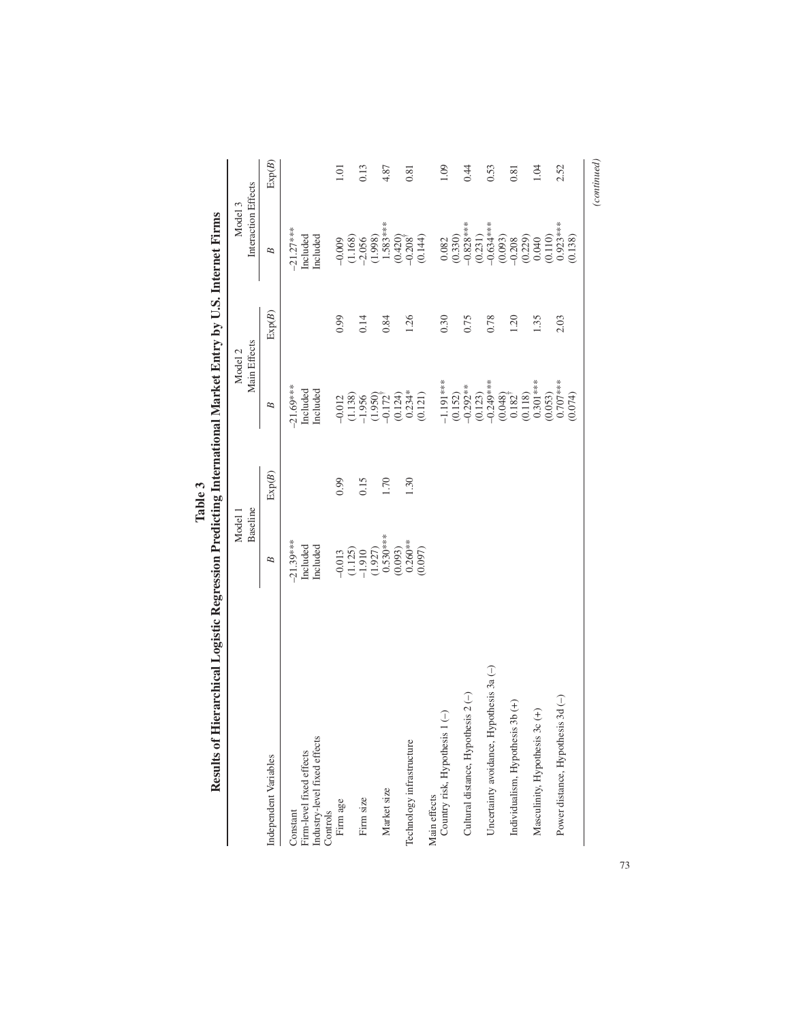| Results of Hierarchical Logistic Regression Predicting International Market Entry by U.S. Internet Firms |                     |        |                                                                             |        |                                  |                 |
|----------------------------------------------------------------------------------------------------------|---------------------|--------|-----------------------------------------------------------------------------|--------|----------------------------------|-----------------|
|                                                                                                          | Baseline<br>Model 1 |        | Main Effects<br>Model 2                                                     |        | Interaction Effects<br>Model 3   |                 |
| Independent Variables                                                                                    | B                   | Exp(B) | B                                                                           | Exp(B) | B                                | $\text{Exp}(B)$ |
|                                                                                                          |                     |        |                                                                             |        |                                  |                 |
| Constant                                                                                                 | $21.39***$          |        | $21.69***$                                                                  |        | $-21.27***$                      |                 |
| Firm-level fixed effects                                                                                 | Included            |        | Included                                                                    |        | Included                         |                 |
| Industry-level fixed effects                                                                             | Included            |        | Included                                                                    |        | Included                         |                 |
| Controls                                                                                                 |                     |        |                                                                             |        |                                  |                 |
| Firm age                                                                                                 | (1.125)<br>$-0.013$ | 0.99   | $-0.012$                                                                    | 0.99   | $-0.009$                         | 1.01            |
| Firm size                                                                                                | $-1.910$            | 0.15   | (1.138)<br>$-1.956$                                                         | 0.14   | (1.168)                          | 0.13            |
|                                                                                                          | (1.927)             |        | (1.950)                                                                     |        |                                  |                 |
| Market size                                                                                              | $0.530***$          | 1.70   | $\begin{array}{c} -0.172^{4} \\ -0.124) \\ 0.234^{*} \\ 0.121) \end{array}$ | 0.84   | $-2.056$<br>(1.998)<br>1.583***  | 4.87            |
|                                                                                                          | (0.093)             |        |                                                                             |        |                                  |                 |
| Technology infrastructure                                                                                | $0.260**$           | 1.30   |                                                                             | 1.26   | $(0.420)$<br>-0.208              | 0.81            |
|                                                                                                          | (0.097)             |        |                                                                             |        | (0.144)                          |                 |
| Main effects                                                                                             |                     |        |                                                                             |        |                                  |                 |
| $1($ $\left($ $\right)$<br>Country risk, Hypothesis                                                      |                     |        | $-1.191***$                                                                 | 0.30   | 0.082                            | 1.09            |
|                                                                                                          |                     |        |                                                                             |        |                                  |                 |
| Cultural distance, Hypothesis 2 (-)                                                                      |                     |        | $(0.152)$<br>-0.292**                                                       | 0.75   | $(0.330)$<br>$-0.828***$         | 0.44            |
|                                                                                                          |                     |        | (0.123)                                                                     |        | $(0.231)$<br>$-0.634***$         |                 |
| Uncertainty avoidance, Hypothesis 3a (-)                                                                 |                     |        | $-0.249***$<br>(0.048)                                                      | 0.78   | (0.093)                          | 0.53            |
| Individualism, Hypothesis 3b (+)                                                                         |                     |        | $0.182^{\dagger}$                                                           | 1.20   |                                  | 0.81            |
|                                                                                                          |                     |        | (0.118)                                                                     |        |                                  |                 |
| Masculinity, Hypothesis 3c (+)                                                                           |                     |        | $0.301***$                                                                  | 1.35   | $-0.208$<br>$(0.229)$<br>$0.040$ | 1.04            |
|                                                                                                          |                     |        | (0.053)                                                                     |        | (0.110)                          |                 |
| Power distance, Hypothesis 3d (-)                                                                        |                     |        | $0.707***$                                                                  | 2.03   | $0.923***$                       | 2.52            |
|                                                                                                          |                     |        | (0.074)                                                                     |        | (0.138)                          |                 |
|                                                                                                          |                     |        |                                                                             |        |                                  | (continued)     |

**Table 3**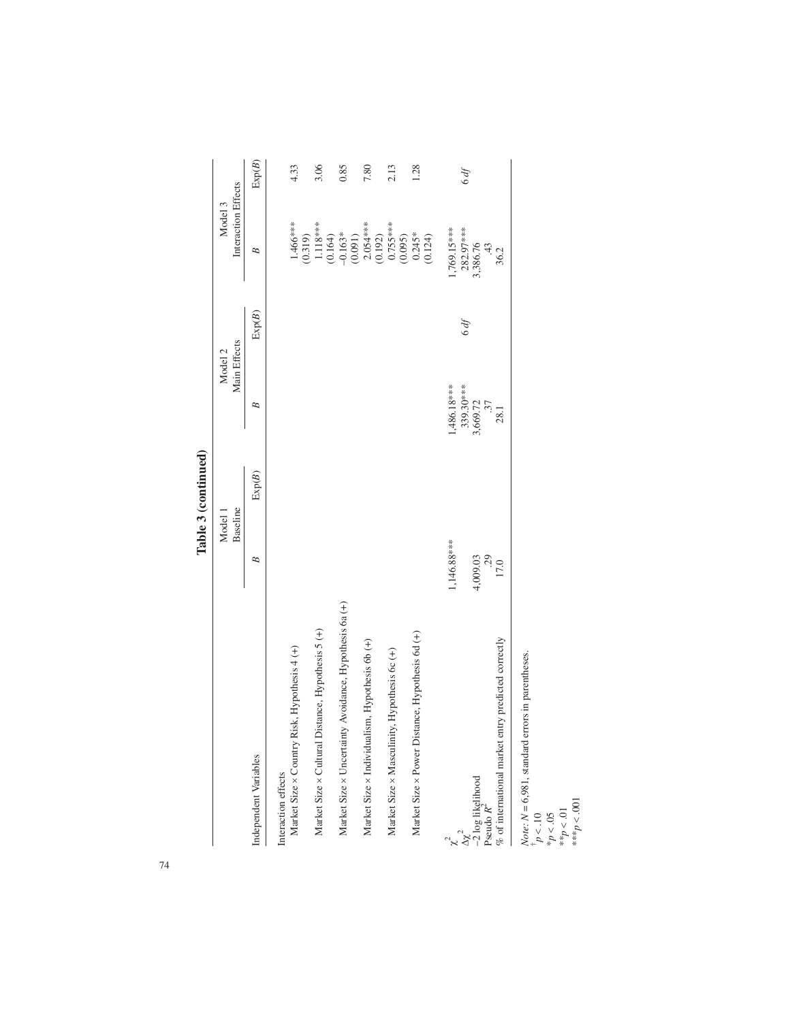|                                                                      |                        | Table 3 (continued) |                          |          |                                                                   |        |
|----------------------------------------------------------------------|------------------------|---------------------|--------------------------|----------|-------------------------------------------------------------------|--------|
|                                                                      | Model 1                |                     | Model 2                  |          | Model 3                                                           |        |
|                                                                      | Baseline               |                     | Main Effects             |          | Interaction Effects                                               |        |
| Independent Variables                                                | B                      | Exp(B)              | B                        | Exp(B)   | B                                                                 | Exp(B) |
| Market Size × Country Risk, Hypothesis 4 (+)<br>Interaction effects  |                        |                     |                          |          | $1.466***$                                                        | 4.33   |
| Market Size × Cultural Distance, Hypothesis 5 (+)                    |                        |                     |                          |          | (0.319)                                                           | 3.06   |
| Market Size × Uncertainty Avoidance, Hypothesis 6a (+)               |                        |                     |                          |          | 1.118***<br>(0.164)<br>(0.163*<br>(0.091)<br>2.054***<br>2.054*** | 0.85   |
| Market Size × Individualism, Hypothesis 6b (+)                       |                        |                     |                          |          |                                                                   | 7.80   |
| Market Size × Masculinity, Hypothesis 6c (+)                         |                        |                     |                          |          | $0.755***$<br>$(0.095)$                                           | 2.13   |
| Market Size × Power Distance, Hypothesis 6d (+)                      |                        |                     |                          |          | $0.245*$<br>(0.124)                                               | 1.28   |
| $\frac{2}{\Delta \chi^2}$                                            | 1,146.88***            |                     | 1,486.18***<br>339.30*** | $\rho$ 9 | 282.97***<br>1,769.15***                                          | 999    |
| $-2\log$ likelihood<br>Pseudo $R^2$                                  | 4,009.03<br>$\ddot{5}$ |                     | 3,669.72<br>.37          |          | 3,386.76<br>43                                                    |        |
| $\%$ of international market entry predicted correctly               | 17.0                   |                     | 28.1                     |          | 36.2                                                              |        |
| <i>Note:</i> $N = 6,981$ , standard errors in parentheses.<br>p < 10 |                        |                     |                          |          |                                                                   |        |

**Table 3 (continued)** tin Table 3 (con

.10

\**p* .05 \*\**p*

 .01 \*\*\**p* .001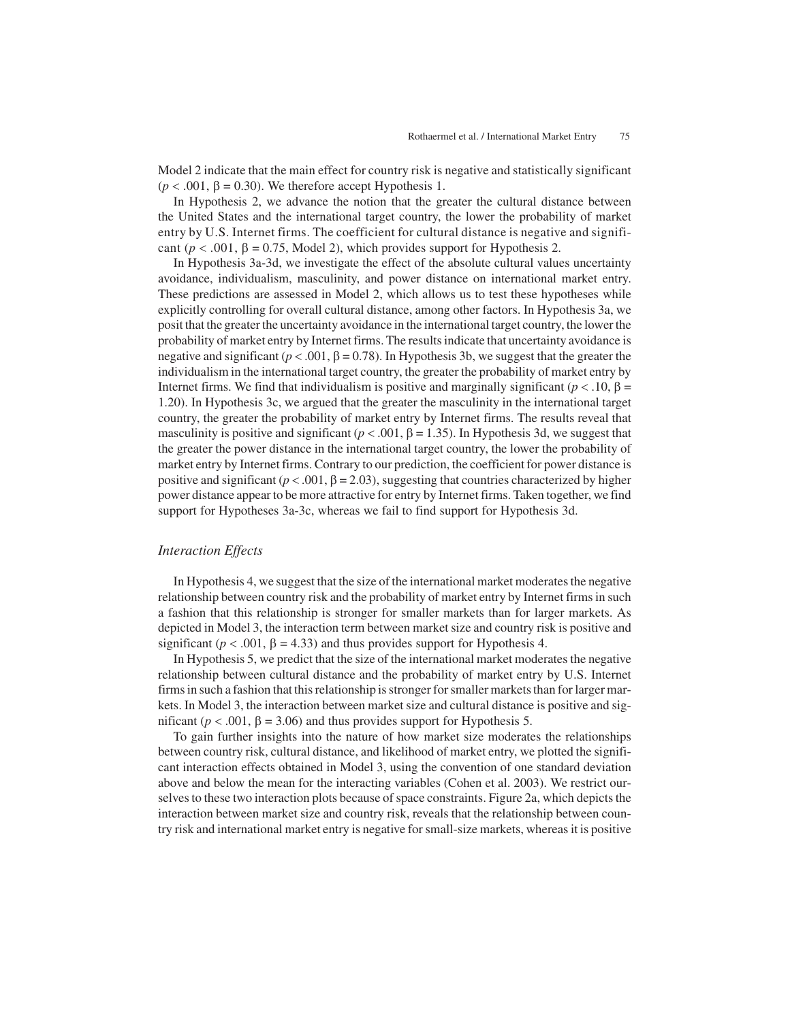Model 2 indicate that the main effect for country risk is negative and statistically significant  $(p < .001, \beta = 0.30)$ . We therefore accept Hypothesis 1.

In Hypothesis 2, we advance the notion that the greater the cultural distance between the United States and the international target country, the lower the probability of market entry by U.S. Internet firms. The coefficient for cultural distance is negative and significant ( $p < .001$ ,  $\beta = 0.75$ , Model 2), which provides support for Hypothesis 2.

In Hypothesis 3a-3d, we investigate the effect of the absolute cultural values uncertainty avoidance, individualism, masculinity, and power distance on international market entry. These predictions are assessed in Model 2, which allows us to test these hypotheses while explicitly controlling for overall cultural distance, among other factors. In Hypothesis 3a, we posit that the greater the uncertainty avoidance in the international target country, the lower the probability of market entry by Internet firms. The results indicate that uncertainty avoidance is negative and significant ( $p < .001$ ,  $\beta = 0.78$ ). In Hypothesis 3b, we suggest that the greater the individualism in the international target country, the greater the probability of market entry by Internet firms. We find that individualism is positive and marginally significant ( $p < .10$ ,  $\beta =$ 1.20). In Hypothesis 3c, we argued that the greater the masculinity in the international target country, the greater the probability of market entry by Internet firms. The results reveal that masculinity is positive and significant ( $p < .001$ ,  $\beta = 1.35$ ). In Hypothesis 3d, we suggest that the greater the power distance in the international target country, the lower the probability of market entry by Internet firms. Contrary to our prediction, the coefficient for power distance is positive and significant ( $p < .001$ ,  $\beta = 2.03$ ), suggesting that countries characterized by higher power distance appear to be more attractive for entry by Internet firms. Taken together, we find support for Hypotheses 3a-3c, whereas we fail to find support for Hypothesis 3d.

#### *Interaction Effects*

In Hypothesis 4, we suggest that the size of the international market moderates the negative relationship between country risk and the probability of market entry by Internet firms in such a fashion that this relationship is stronger for smaller markets than for larger markets. As depicted in Model 3, the interaction term between market size and country risk is positive and significant ( $p < .001$ ,  $\beta = 4.33$ ) and thus provides support for Hypothesis 4.

In Hypothesis 5, we predict that the size of the international market moderates the negative relationship between cultural distance and the probability of market entry by U.S. Internet firms in such a fashion that this relationship is stronger for smaller markets than for larger markets. In Model 3, the interaction between market size and cultural distance is positive and significant ( $p < .001$ ,  $\beta = 3.06$ ) and thus provides support for Hypothesis 5.

To gain further insights into the nature of how market size moderates the relationships between country risk, cultural distance, and likelihood of market entry, we plotted the significant interaction effects obtained in Model 3, using the convention of one standard deviation above and below the mean for the interacting variables (Cohen et al. 2003). We restrict ourselves to these two interaction plots because of space constraints. Figure 2a, which depicts the interaction between market size and country risk, reveals that the relationship between country risk and international market entry is negative for small-size markets, whereas it is positive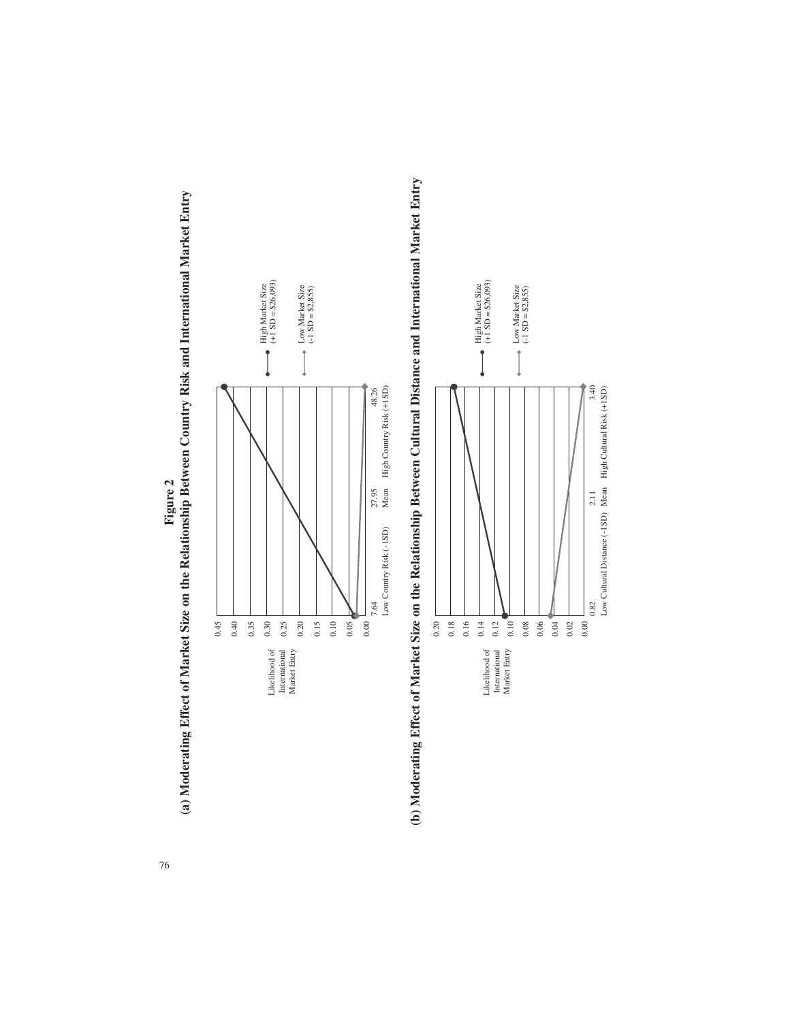



(b) Moderating Effect of Market Size on the Relationship Between Cultural Distance and International Market Entry (b) Moderating Effect of Market Size on the Relationship Between Cultural Distance and International Market Entry

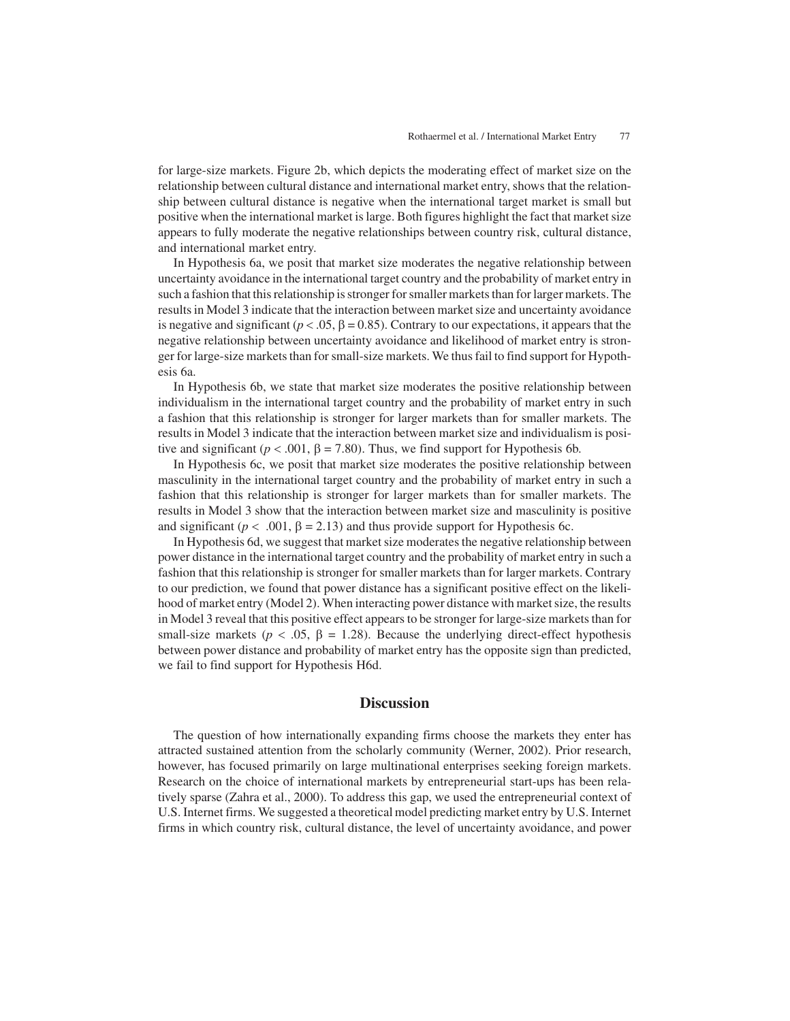for large-size markets. Figure 2b, which depicts the moderating effect of market size on the relationship between cultural distance and international market entry, shows that the relationship between cultural distance is negative when the international target market is small but positive when the international market is large. Both figures highlight the fact that market size appears to fully moderate the negative relationships between country risk, cultural distance, and international market entry.

In Hypothesis 6a, we posit that market size moderates the negative relationship between uncertainty avoidance in the international target country and the probability of market entry in such a fashion that this relationship is stronger for smaller markets than for larger markets. The results in Model 3 indicate that the interaction between market size and uncertainty avoidance is negative and significant ( $p < .05$ ,  $\beta = 0.85$ ). Contrary to our expectations, it appears that the negative relationship between uncertainty avoidance and likelihood of market entry is stronger for large-size markets than for small-size markets. We thus fail to find support for Hypothesis 6a.

In Hypothesis 6b, we state that market size moderates the positive relationship between individualism in the international target country and the probability of market entry in such a fashion that this relationship is stronger for larger markets than for smaller markets. The results in Model 3 indicate that the interaction between market size and individualism is positive and significant ( $p < .001$ ,  $\beta = 7.80$ ). Thus, we find support for Hypothesis 6b.

In Hypothesis 6c, we posit that market size moderates the positive relationship between masculinity in the international target country and the probability of market entry in such a fashion that this relationship is stronger for larger markets than for smaller markets. The results in Model 3 show that the interaction between market size and masculinity is positive and significant ( $p < .001$ ,  $\beta = 2.13$ ) and thus provide support for Hypothesis 6c.

In Hypothesis 6d, we suggest that market size moderates the negative relationship between power distance in the international target country and the probability of market entry in such a fashion that this relationship is stronger for smaller markets than for larger markets. Contrary to our prediction, we found that power distance has a significant positive effect on the likelihood of market entry (Model 2). When interacting power distance with market size, the results in Model 3 reveal that this positive effect appears to be stronger for large-size markets than for small-size markets ( $p < .05$ ,  $\beta = 1.28$ ). Because the underlying direct-effect hypothesis between power distance and probability of market entry has the opposite sign than predicted, we fail to find support for Hypothesis H6d.

#### **Discussion**

The question of how internationally expanding firms choose the markets they enter has attracted sustained attention from the scholarly community (Werner, 2002). Prior research, however, has focused primarily on large multinational enterprises seeking foreign markets. Research on the choice of international markets by entrepreneurial start-ups has been relatively sparse (Zahra et al., 2000). To address this gap, we used the entrepreneurial context of U.S. Internet firms. We suggested a theoretical model predicting market entry by U.S. Internet firms in which country risk, cultural distance, the level of uncertainty avoidance, and power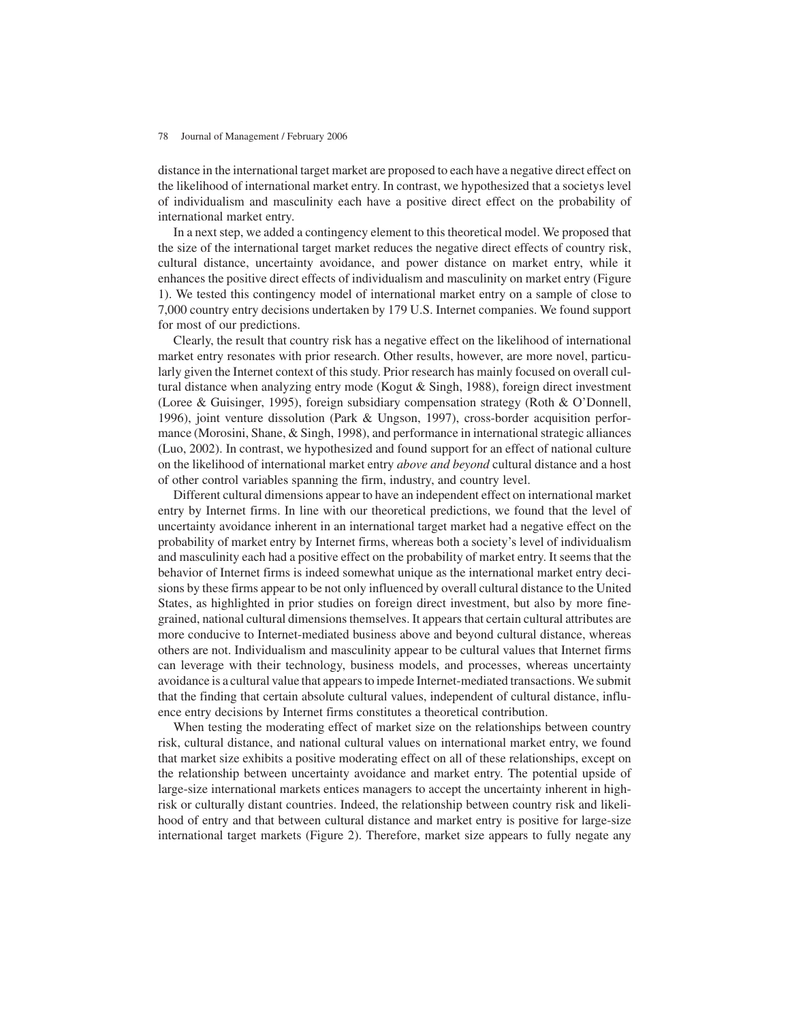distance in the international target market are proposed to each have a negative direct effect on the likelihood of international market entry. In contrast, we hypothesized that a societys level of individualism and masculinity each have a positive direct effect on the probability of international market entry.

In a next step, we added a contingency element to this theoretical model. We proposed that the size of the international target market reduces the negative direct effects of country risk, cultural distance, uncertainty avoidance, and power distance on market entry, while it enhances the positive direct effects of individualism and masculinity on market entry (Figure 1). We tested this contingency model of international market entry on a sample of close to 7,000 country entry decisions undertaken by 179 U.S. Internet companies. We found support for most of our predictions.

Clearly, the result that country risk has a negative effect on the likelihood of international market entry resonates with prior research. Other results, however, are more novel, particularly given the Internet context of this study. Prior research has mainly focused on overall cultural distance when analyzing entry mode (Kogut & Singh, 1988), foreign direct investment (Loree & Guisinger, 1995), foreign subsidiary compensation strategy (Roth & O'Donnell, 1996), joint venture dissolution (Park & Ungson, 1997), cross-border acquisition performance (Morosini, Shane, & Singh, 1998), and performance in international strategic alliances (Luo, 2002). In contrast, we hypothesized and found support for an effect of national culture on the likelihood of international market entry *above and beyond* cultural distance and a host of other control variables spanning the firm, industry, and country level.

Different cultural dimensions appear to have an independent effect on international market entry by Internet firms. In line with our theoretical predictions, we found that the level of uncertainty avoidance inherent in an international target market had a negative effect on the probability of market entry by Internet firms, whereas both a society's level of individualism and masculinity each had a positive effect on the probability of market entry. It seems that the behavior of Internet firms is indeed somewhat unique as the international market entry decisions by these firms appear to be not only influenced by overall cultural distance to the United States, as highlighted in prior studies on foreign direct investment, but also by more finegrained, national cultural dimensions themselves. It appears that certain cultural attributes are more conducive to Internet-mediated business above and beyond cultural distance, whereas others are not. Individualism and masculinity appear to be cultural values that Internet firms can leverage with their technology, business models, and processes, whereas uncertainty avoidance is a cultural value that appears to impede Internet-mediated transactions. We submit that the finding that certain absolute cultural values, independent of cultural distance, influence entry decisions by Internet firms constitutes a theoretical contribution.

When testing the moderating effect of market size on the relationships between country risk, cultural distance, and national cultural values on international market entry, we found that market size exhibits a positive moderating effect on all of these relationships, except on the relationship between uncertainty avoidance and market entry. The potential upside of large-size international markets entices managers to accept the uncertainty inherent in highrisk or culturally distant countries. Indeed, the relationship between country risk and likelihood of entry and that between cultural distance and market entry is positive for large-size international target markets (Figure 2). Therefore, market size appears to fully negate any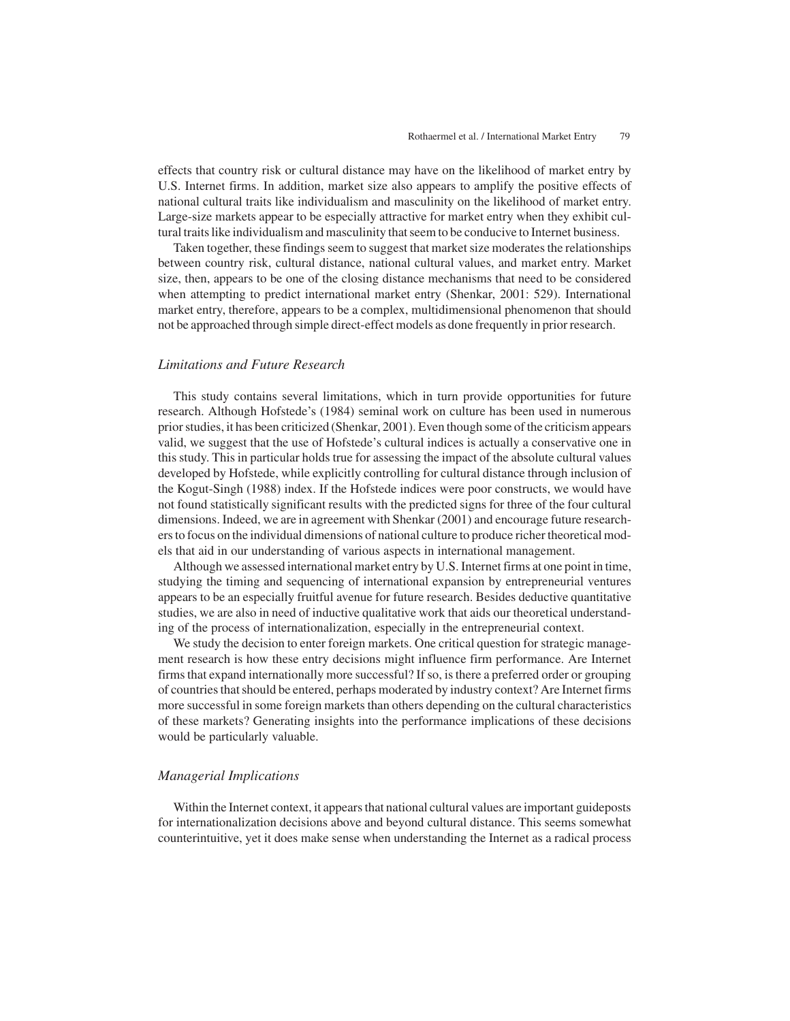effects that country risk or cultural distance may have on the likelihood of market entry by U.S. Internet firms. In addition, market size also appears to amplify the positive effects of national cultural traits like individualism and masculinity on the likelihood of market entry. Large-size markets appear to be especially attractive for market entry when they exhibit cultural traits like individualism and masculinity that seem to be conducive to Internet business.

Taken together, these findings seem to suggest that market size moderates the relationships between country risk, cultural distance, national cultural values, and market entry. Market size, then, appears to be one of the closing distance mechanisms that need to be considered when attempting to predict international market entry (Shenkar, 2001: 529). International market entry, therefore, appears to be a complex, multidimensional phenomenon that should not be approached through simple direct-effect models as done frequently in prior research.

## *Limitations and Future Research*

This study contains several limitations, which in turn provide opportunities for future research. Although Hofstede's (1984) seminal work on culture has been used in numerous prior studies, it has been criticized (Shenkar, 2001). Even though some of the criticism appears valid, we suggest that the use of Hofstede's cultural indices is actually a conservative one in this study. This in particular holds true for assessing the impact of the absolute cultural values developed by Hofstede, while explicitly controlling for cultural distance through inclusion of the Kogut-Singh (1988) index. If the Hofstede indices were poor constructs, we would have not found statistically significant results with the predicted signs for three of the four cultural dimensions. Indeed, we are in agreement with Shenkar (2001) and encourage future researchers to focus on the individual dimensions of national culture to produce richer theoretical models that aid in our understanding of various aspects in international management.

Although we assessed international market entry by U.S. Internet firms at one point in time, studying the timing and sequencing of international expansion by entrepreneurial ventures appears to be an especially fruitful avenue for future research. Besides deductive quantitative studies, we are also in need of inductive qualitative work that aids our theoretical understanding of the process of internationalization, especially in the entrepreneurial context.

We study the decision to enter foreign markets. One critical question for strategic management research is how these entry decisions might influence firm performance. Are Internet firms that expand internationally more successful? If so, is there a preferred order or grouping of countries that should be entered, perhaps moderated by industry context? Are Internet firms more successful in some foreign markets than others depending on the cultural characteristics of these markets? Generating insights into the performance implications of these decisions would be particularly valuable.

#### *Managerial Implications*

Within the Internet context, it appears that national cultural values are important guideposts for internationalization decisions above and beyond cultural distance. This seems somewhat counterintuitive, yet it does make sense when understanding the Internet as a radical process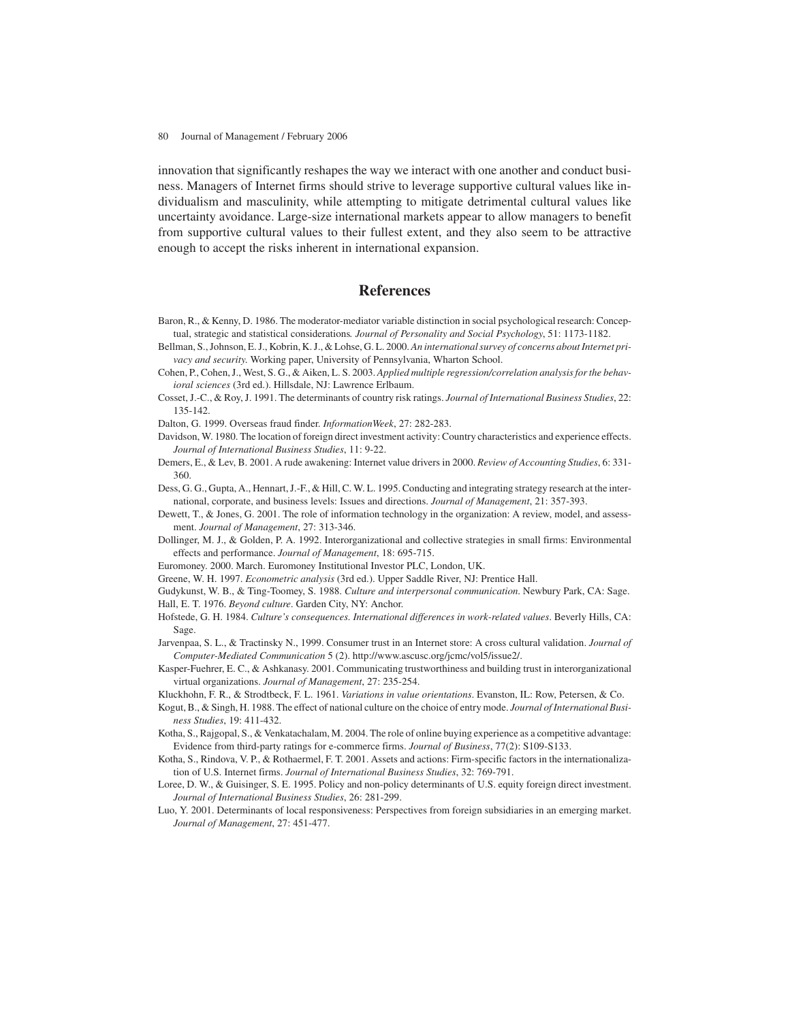innovation that significantly reshapes the way we interact with one another and conduct business. Managers of Internet firms should strive to leverage supportive cultural values like individualism and masculinity, while attempting to mitigate detrimental cultural values like uncertainty avoidance. Large-size international markets appear to allow managers to benefit from supportive cultural values to their fullest extent, and they also seem to be attractive enough to accept the risks inherent in international expansion.

## **References**

- Baron, R., & Kenny, D. 1986. The moderator-mediator variable distinction in social psychological research: Conceptual, strategic and statistical considerations*. Journal of Personality and Social Psychology*, 51: 1173-1182.
- Bellman, S., Johnson, E. J., Kobrin, K. J., & Lohse, G. L. 2000.*An international survey of concerns about Internet privacy and security*. Working paper, University of Pennsylvania, Wharton School.
- Cohen, P., Cohen, J., West, S. G., & Aiken, L. S. 2003. *Applied multiple regression/correlation analysis for the behavioral sciences* (3rd ed.). Hillsdale, NJ: Lawrence Erlbaum.
- Cosset, J.-C., & Roy, J. 1991. The determinants of country risk ratings. *Journal of International Business Studies*, 22: 135-142.

Dalton, G. 1999. Overseas fraud finder. *InformationWeek*, 27: 282-283.

Davidson, W. 1980. The location of foreign direct investment activity: Country characteristics and experience effects. *Journal of International Business Studies*, 11: 9-22.

Demers, E., & Lev, B. 2001. A rude awakening: Internet value drivers in 2000. *Review of Accounting Studies*, 6: 331- 360.

- Dess, G. G., Gupta, A., Hennart, J.-F., & Hill, C. W. L. 1995. Conducting and integrating strategy research at the international, corporate, and business levels: Issues and directions. *Journal of Management*, 21: 357-393.
- Dewett, T., & Jones, G. 2001. The role of information technology in the organization: A review, model, and assessment. *Journal of Management*, 27: 313-346.
- Dollinger, M. J., & Golden, P. A. 1992. Interorganizational and collective strategies in small firms: Environmental effects and performance. *Journal of Management*, 18: 695-715.
- Euromoney. 2000. March. Euromoney Institutional Investor PLC, London, UK.
- Greene, W. H. 1997. *Econometric analysis* (3rd ed.). Upper Saddle River, NJ: Prentice Hall.

Gudykunst, W. B., & Ting-Toomey, S. 1988. *Culture and interpersonal communication*. Newbury Park, CA: Sage. Hall, E. T. 1976. *Beyond culture*. Garden City, NY: Anchor.

- Hofstede, G. H. 1984. *Culture's consequences. International differences in work-related values*. Beverly Hills, CA: Sage.
- Jarvenpaa, S. L., & Tractinsky N., 1999. Consumer trust in an Internet store: A cross cultural validation. *Journal of Computer-Mediated Communication* 5 (2). http://www.ascusc.org/jcmc/vol5/issue2/.
- Kasper-Fuehrer, E. C., & Ashkanasy. 2001. Communicating trustworthiness and building trust in interorganizational virtual organizations. *Journal of Management*, 27: 235-254.
- Kluckhohn, F. R., & Strodtbeck, F. L. 1961. *Variations in value orientations*. Evanston, IL: Row, Petersen, & Co.
- Kogut, B., & Singh, H. 1988. The effect of national culture on the choice of entry mode. *Journal of International Business Studies*, 19: 411-432.
- Kotha, S., Rajgopal, S., & Venkatachalam, M. 2004. The role of online buying experience as a competitive advantage: Evidence from third-party ratings for e-commerce firms. *Journal of Business*, 77(2): S109-S133.
- Kotha, S., Rindova, V. P., & Rothaermel, F. T. 2001. Assets and actions: Firm-specific factors in the internationalization of U.S. Internet firms. *Journal of International Business Studies*, 32: 769-791.
- Loree, D. W., & Guisinger, S. E. 1995. Policy and non-policy determinants of U.S. equity foreign direct investment. *Journal of International Business Studies*, 26: 281-299.
- Luo, Y. 2001. Determinants of local responsiveness: Perspectives from foreign subsidiaries in an emerging market. *Journal of Management*, 27: 451-477.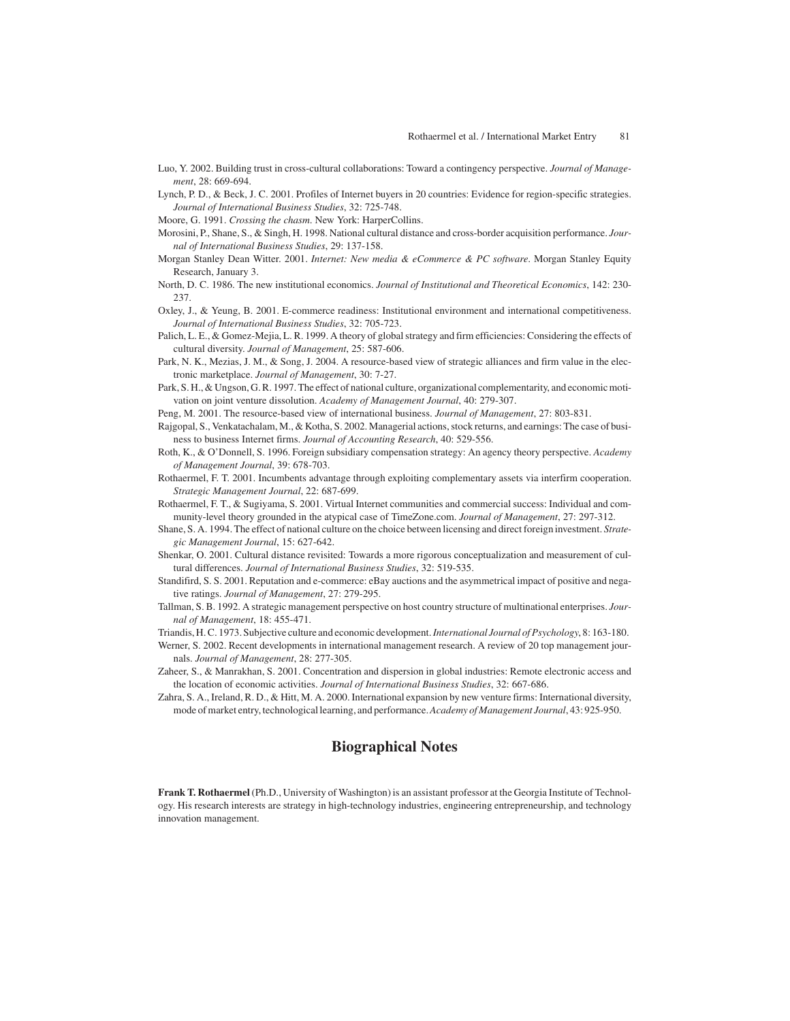- Luo, Y. 2002. Building trust in cross-cultural collaborations: Toward a contingency perspective. *Journal of Management*, 28: 669-694.
- Lynch, P. D., & Beck, J. C. 2001. Profiles of Internet buyers in 20 countries: Evidence for region-specific strategies. *Journal of International Business Studies*, 32: 725-748.
- Moore, G. 1991. *Crossing the chasm*. New York: HarperCollins.
- Morosini, P., Shane, S., & Singh, H. 1998. National cultural distance and cross-border acquisition performance. *Journal of International Business Studies*, 29: 137-158.
- Morgan Stanley Dean Witter. 2001. *Internet: New media & eCommerce & PC software*. Morgan Stanley Equity Research, January 3.
- North, D. C. 1986. The new institutional economics. *Journal of Institutional and Theoretical Economics*, 142: 230- 237.
- Oxley, J., & Yeung, B. 2001. E-commerce readiness: Institutional environment and international competitiveness. *Journal of International Business Studies*, 32: 705-723.
- Palich, L. E., & Gomez-Mejia, L. R. 1999. A theory of global strategy and firm efficiencies: Considering the effects of cultural diversity. *Journal of Management*, 25: 587-606.
- Park, N. K., Mezias, J. M., & Song, J. 2004. A resource-based view of strategic alliances and firm value in the electronic marketplace. *Journal of Management*, 30: 7-27.
- Park, S. H., & Ungson, G. R. 1997. The effect of national culture, organizational complementarity, and economic motivation on joint venture dissolution. *Academy of Management Journal*, 40: 279-307.
- Peng, M. 2001. The resource-based view of international business. *Journal of Management*, 27: 803-831.
- Rajgopal, S., Venkatachalam, M., & Kotha, S. 2002. Managerial actions, stock returns, and earnings: The case of business to business Internet firms. *Journal of Accounting Research*, 40: 529-556.
- Roth, K., & O'Donnell, S. 1996. Foreign subsidiary compensation strategy: An agency theory perspective. *Academy of Management Journal*, 39: 678-703.
- Rothaermel, F. T. 2001. Incumbents advantage through exploiting complementary assets via interfirm cooperation. *Strategic Management Journal*, 22: 687-699.
- Rothaermel, F. T., & Sugiyama, S. 2001. Virtual Internet communities and commercial success: Individual and community-level theory grounded in the atypical case of TimeZone.com. *Journal of Management*, 27: 297-312.
- Shane, S. A. 1994. The effect of national culture on the choice between licensing and direct foreign investment. *Strategic Management Journal*, 15: 627-642.
- Shenkar, O. 2001. Cultural distance revisited: Towards a more rigorous conceptualization and measurement of cultural differences. *Journal of International Business Studies*, 32: 519-535.
- Standifird, S. S. 2001. Reputation and e-commerce: eBay auctions and the asymmetrical impact of positive and negative ratings. *Journal of Management*, 27: 279-295.
- Tallman, S. B. 1992. A strategic management perspective on host country structure of multinational enterprises. *Journal of Management*, 18: 455-471.
- Triandis, H. C. 1973. Subjective culture and economic development.*International Journal of Psychology*, 8: 163-180.
- Werner, S. 2002. Recent developments in international management research. A review of 20 top management journals. *Journal of Management*, 28: 277-305.
- Zaheer, S., & Manrakhan, S. 2001. Concentration and dispersion in global industries: Remote electronic access and the location of economic activities. *Journal of International Business Studies*, 32: 667-686.
- Zahra, S. A., Ireland, R. D., & Hitt, M. A. 2000. International expansion by new venture firms: International diversity, mode of market entry, technological learning, and performance.*Academy of Management Journal*, 43: 925-950.

## **Biographical Notes**

**Frank T. Rothaermel** (Ph.D., University of Washington) is an assistant professor at the Georgia Institute of Technology. His research interests are strategy in high-technology industries, engineering entrepreneurship, and technology innovation management.